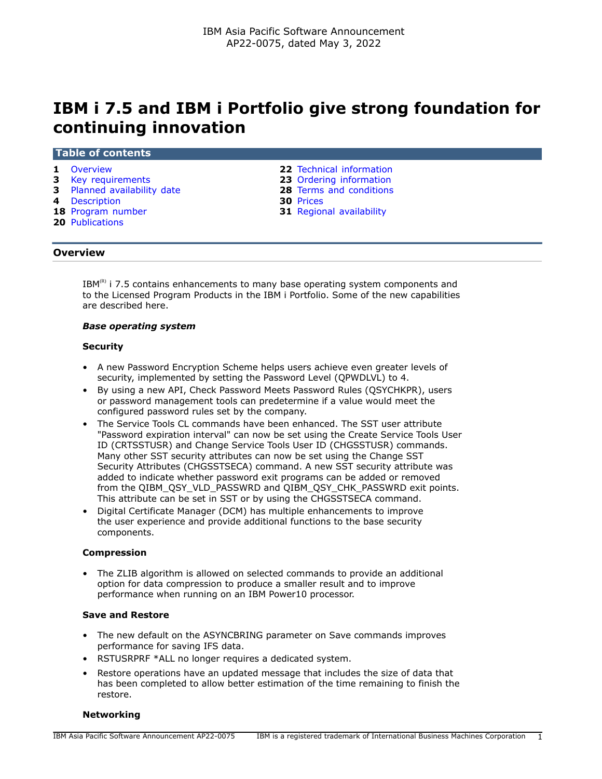# **IBM i 7.5 and IBM i Portfolio give strong foundation for continuing innovation**

#### **Table of contents**

- 
- **3** [Key requirements](#page-2-0) **23** [Ordering information](#page-22-0)
- **3** [Planned availability date](#page-2-1) **28** [Terms and conditions](#page-27-0)
- 
- **4** [Description](#page-3-0) **30** [Prices](#page-29-0)
- **20** [Publications](#page-19-0)
- **1** [Overview](#page-0-0) **22** [Technical information](#page-21-0)
	-
	-
	-
	- **31** [Regional availability](#page-30-0)

### <span id="page-0-0"></span>**Overview**

 $IBM<sup>(R)</sup>$  i 7.5 contains enhancements to many base operating system components and to the Licensed Program Products in the IBM i Portfolio. Some of the new capabilities are described here.

### *Base operating system*

#### **Security**

- A new Password Encryption Scheme helps users achieve even greater levels of security, implemented by setting the Password Level (QPWDLVL) to 4.
- By using a new API, Check Password Meets Password Rules (QSYCHKPR), users or password management tools can predetermine if a value would meet the configured password rules set by the company.
- The Service Tools CL commands have been enhanced. The SST user attribute "Password expiration interval" can now be set using the Create Service Tools User ID (CRTSSTUSR) and Change Service Tools User ID (CHGSSTUSR) commands. Many other SST security attributes can now be set using the Change SST Security Attributes (CHGSSTSECA) command. A new SST security attribute was added to indicate whether password exit programs can be added or removed from the QIBM\_QSY\_VLD\_PASSWRD and QIBM\_QSY\_CHK\_PASSWRD exit points. This attribute can be set in SST or by using the CHGSSTSECA command.
- Digital Certificate Manager (DCM) has multiple enhancements to improve the user experience and provide additional functions to the base security components.

### **Compression**

• The ZLIB algorithm is allowed on selected commands to provide an additional option for data compression to produce a smaller result and to improve performance when running on an IBM Power10 processor.

### **Save and Restore**

- The new default on the ASYNCBRING parameter on Save commands improves performance for saving IFS data.
- RSTUSRPRF \*ALL no longer requires a dedicated system.
- Restore operations have an updated message that includes the size of data that has been completed to allow better estimation of the time remaining to finish the restore.

### **Networking**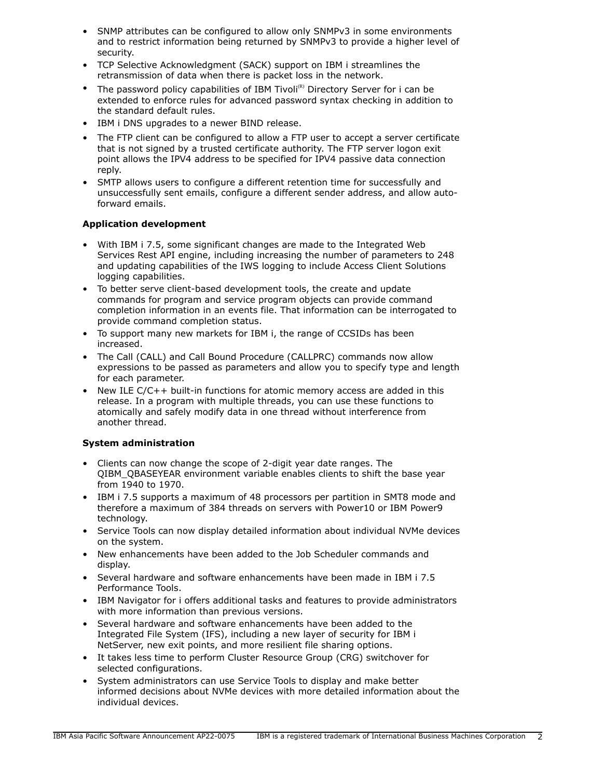- SNMP attributes can be configured to allow only SNMPv3 in some environments and to restrict information being returned by SNMPv3 to provide a higher level of security.
- TCP Selective Acknowledgment (SACK) support on IBM i streamlines the retransmission of data when there is packet loss in the network.
- The password policy capabilities of IBM Tivoli<sup>(R)</sup> Directory Server for i can be extended to enforce rules for advanced password syntax checking in addition to the standard default rules.
- IBM i DNS upgrades to a newer BIND release.
- The FTP client can be configured to allow a FTP user to accept a server certificate that is not signed by a trusted certificate authority. The FTP server logon exit point allows the IPV4 address to be specified for IPV4 passive data connection reply.
- SMTP allows users to configure a different retention time for successfully and unsuccessfully sent emails, configure a different sender address, and allow autoforward emails.

# **Application development**

- With IBM i 7.5, some significant changes are made to the Integrated Web Services Rest API engine, including increasing the number of parameters to 248 and updating capabilities of the IWS logging to include Access Client Solutions logging capabilities.
- To better serve client-based development tools, the create and update commands for program and service program objects can provide command completion information in an events file. That information can be interrogated to provide command completion status.
- To support many new markets for IBM i, the range of CCSIDs has been increased.
- The Call (CALL) and Call Bound Procedure (CALLPRC) commands now allow expressions to be passed as parameters and allow you to specify type and length for each parameter.
- New ILE C/C++ built-in functions for atomic memory access are added in this release. In a program with multiple threads, you can use these functions to atomically and safely modify data in one thread without interference from another thread.

# **System administration**

- Clients can now change the scope of 2-digit year date ranges. The QIBM\_QBASEYEAR environment variable enables clients to shift the base year from 1940 to 1970.
- IBM i 7.5 supports a maximum of 48 processors per partition in SMT8 mode and therefore a maximum of 384 threads on servers with Power10 or IBM Power9 technology.
- Service Tools can now display detailed information about individual NVMe devices on the system.
- New enhancements have been added to the Job Scheduler commands and display.
- Several hardware and software enhancements have been made in IBM i 7.5 Performance Tools.
- IBM Navigator for i offers additional tasks and features to provide administrators with more information than previous versions.
- Several hardware and software enhancements have been added to the Integrated File System (IFS), including a new layer of security for IBM i NetServer, new exit points, and more resilient file sharing options.
- It takes less time to perform Cluster Resource Group (CRG) switchover for selected configurations.
- System administrators can use Service Tools to display and make better informed decisions about NVMe devices with more detailed information about the individual devices.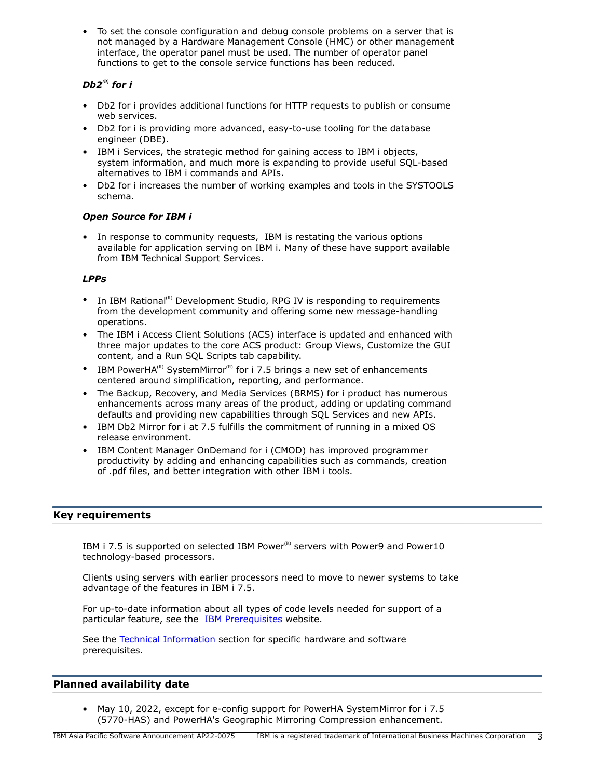• To set the console configuration and debug console problems on a server that is not managed by a Hardware Management Console (HMC) or other management interface, the operator panel must be used. The number of operator panel functions to get to the console service functions has been reduced.

# *Db2<sup>(R)</sup>* for *i*

- Db2 for i provides additional functions for HTTP requests to publish or consume web services.
- Db2 for i is providing more advanced, easy-to-use tooling for the database engineer (DBE).
- IBM i Services, the strategic method for gaining access to IBM i objects, system information, and much more is expanding to provide useful SQL-based alternatives to IBM i commands and APIs.
- Db2 for i increases the number of working examples and tools in the SYSTOOLS schema.

# *Open Source for IBM i*

• In response to community requests, IBM is restating the various options available for application serving on IBM i. Many of these have support available from IBM Technical Support Services.

# *LPPs*

- In IBM Rational<sup>(R)</sup> Development Studio, RPG IV is responding to requirements from the development community and offering some new message-handling operations.
- The IBM i Access Client Solutions (ACS) interface is updated and enhanced with three major updates to the core ACS product: Group Views, Customize the GUI content, and a Run SQL Scripts tab capability.
- IBM PowerHA<sup>(R)</sup> SystemMirror<sup>(R)</sup> for i 7.5 brings a new set of enhancements centered around simplification, reporting, and performance.
- The Backup, Recovery, and Media Services (BRMS) for i product has numerous enhancements across many areas of the product, adding or updating command defaults and providing new capabilities through SQL Services and new APIs.
- IBM Db2 Mirror for i at 7.5 fulfills the commitment of running in a mixed OS release environment.
- IBM Content Manager OnDemand for i (CMOD) has improved programmer productivity by adding and enhancing capabilities such as commands, creation of .pdf files, and better integration with other IBM i tools.

# <span id="page-2-0"></span>**Key requirements**

IBM i 7.5 is supported on selected IBM Power ${}^{(R)}$  servers with Power9 and Power10 technology-based processors.

Clients using servers with earlier processors need to move to newer systems to take advantage of the features in IBM i 7.5.

For up-to-date information about all types of code levels needed for support of a particular feature, see the [IBM Prerequisites](https://www.ibm.com/support/customercare/iprt/home) website.

See the [Technical Information](#page-21-0) section for specific hardware and software prerequisites.

# <span id="page-2-1"></span>**Planned availability date**

• May 10, 2022, except for e-config support for PowerHA SystemMirror for i 7.5 (5770-HAS) and PowerHA's Geographic Mirroring Compression enhancement.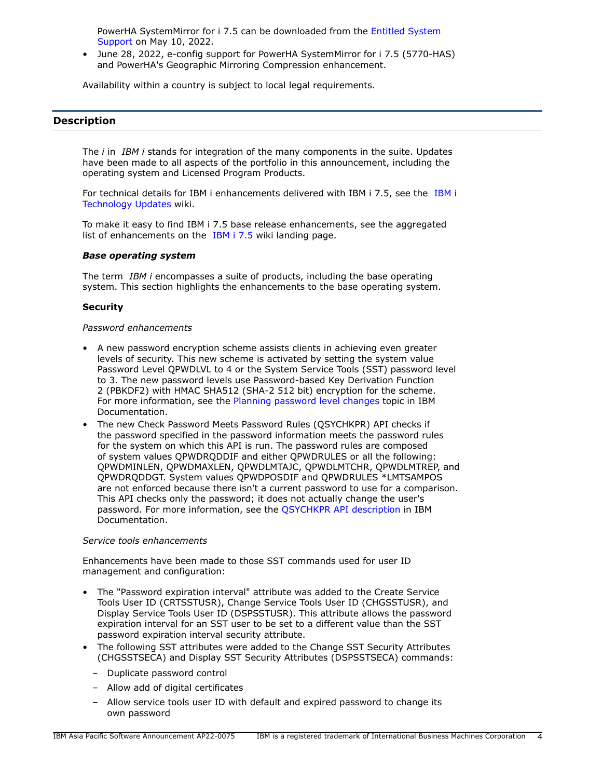PowerHA SystemMirror for i 7.5 can be downloaded from the [Entitled System](https://www.ibm.com/servers/eserver/ess/index.wss) [Support](https://www.ibm.com/servers/eserver/ess/index.wss) on May 10, 2022.

• June 28, 2022, e-config support for PowerHA SystemMirror for i 7.5 (5770-HAS) and PowerHA's Geographic Mirroring Compression enhancement.

Availability within a country is subject to local legal requirements.

# <span id="page-3-0"></span>**Description**

The *i* in *IBM i* stands for integration of the many components in the suite. Updates have been made to all aspects of the portfolio in this announcement, including the operating system and Licensed Program Products.

For technical details for IBM i enhancements delivered with IBM i 7.5, see the [IBM i](https://www.ibm.com/support/pages/node/1119129) [Technology Updates](https://www.ibm.com/support/pages/node/1119129) wiki.

To make it easy to find IBM i 7.5 base release enhancements, see the aggregated list of enhancements on the [IBM i 7.5](https://www.ibm.com/support/pages/ibm-i-75-base-enhancements) wiki landing page.

### *Base operating system*

The term *IBM i* encompasses a suite of products, including the base operating system. This section highlights the enhancements to the base operating system.

### **Security**

### *Password enhancements*

- A new password encryption scheme assists clients in achieving even greater levels of security. This new scheme is activated by setting the system value Password Level QPWDLVL to 4 or the System Service Tools (SST) password level to 3. The new password levels use Password-based Key Derivation Function 2 (PBKDF2) with HMAC SHA512 (SHA-2 512 bit) encryption for the scheme. For more information, see the [Planning password level changes](https://www.ibm.com/docs/en/i/7.5?topic=security-planning-password-level-changes) topic in IBM Documentation.
- The new Check Password Meets Password Rules (QSYCHKPR) API checks if the password specified in the password information meets the password rules for the system on which this API is run. The password rules are composed of system values QPWDRQDDIF and either QPWDRULES or all the following: QPWDMINLEN, QPWDMAXLEN, QPWDLMTAJC, QPWDLMTCHR, QPWDLMTREP, and QPWDRQDDGT. System values QPWDPOSDIF and QPWDRULES \*LMTSAMPOS are not enforced because there isn't a current password to use for a comparison. This API checks only the password; it does not actually change the user's password. For more information, see the [QSYCHKPR API description](https://www.ibm.com/docs/en/i/7.5?topic=ssw_ibm_i_75/apis/qsychkpr.htm) in IBM Documentation.

### *Service tools enhancements*

Enhancements have been made to those SST commands used for user ID management and configuration:

- The "Password expiration interval" attribute was added to the Create Service Tools User ID (CRTSSTUSR), Change Service Tools User ID (CHGSSTUSR), and Display Service Tools User ID (DSPSSTUSR). This attribute allows the password expiration interval for an SST user to be set to a different value than the SST password expiration interval security attribute.
- The following SST attributes were added to the Change SST Security Attributes (CHGSSTSECA) and Display SST Security Attributes (DSPSSTSECA) commands:
	- Duplicate password control
	- Allow add of digital certificates
	- Allow service tools user ID with default and expired password to change its own password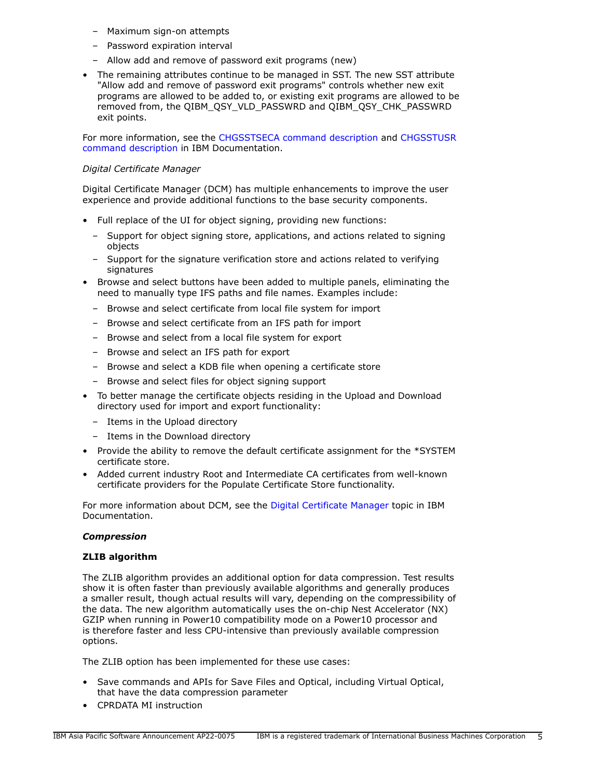- Maximum sign-on attempts
- Password expiration interval
- Allow add and remove of password exit programs (new)
- The remaining attributes continue to be managed in SST. The new SST attribute "Allow add and remove of password exit programs" controls whether new exit programs are allowed to be added to, or existing exit programs are allowed to be removed from, the QIBM\_QSY\_VLD\_PASSWRD and QIBM\_QSY\_CHK\_PASSWRD exit points.

For more information, see the [CHGSSTSECA command description](https://www.ibm.com/docs/en/i/7.5?topic=ssw_ibm_i_75/cl/chgsstseca.htm) and [CHGSSTUSR](https://www.ibm.com/docs/en/i/7.5?topic=ssw_ibm_i_75/cl/chgsstusr.htm) [command description](https://www.ibm.com/docs/en/i/7.5?topic=ssw_ibm_i_75/cl/chgsstusr.htm) in IBM Documentation.

### *Digital Certificate Manager*

Digital Certificate Manager (DCM) has multiple enhancements to improve the user experience and provide additional functions to the base security components.

- Full replace of the UI for object signing, providing new functions:
	- Support for object signing store, applications, and actions related to signing objects
	- Support for the signature verification store and actions related to verifying signatures
- Browse and select buttons have been added to multiple panels, eliminating the need to manually type IFS paths and file names. Examples include:
	- Browse and select certificate from local file system for import
	- Browse and select certificate from an IFS path for import
	- Browse and select from a local file system for export
	- Browse and select an IFS path for export
	- Browse and select a KDB file when opening a certificate store
	- Browse and select files for object signing support
- To better manage the certificate objects residing in the Upload and Download directory used for import and export functionality:
	- Items in the Upload directory
	- Items in the Download directory
- Provide the ability to remove the default certificate assignment for the \*SYSTEM certificate store.
- Added current industry Root and Intermediate CA certificates from well-known certificate providers for the Populate Certificate Store functionality.

For more information about DCM, see the [Digital Certificate Manager](https://www.ibm.com/docs/en/i/7.5?topic=security-digital-certificate-manager) topic in IBM Documentation.

### *Compression*

### **ZLIB algorithm**

The ZLIB algorithm provides an additional option for data compression. Test results show it is often faster than previously available algorithms and generally produces a smaller result, though actual results will vary, depending on the compressibility of the data. The new algorithm automatically uses the on-chip Nest Accelerator (NX) GZIP when running in Power10 compatibility mode on a Power10 processor and is therefore faster and less CPU-intensive than previously available compression options.

The ZLIB option has been implemented for these use cases:

- Save commands and APIs for Save Files and Optical, including Virtual Optical, that have the data compression parameter
- CPRDATA MI instruction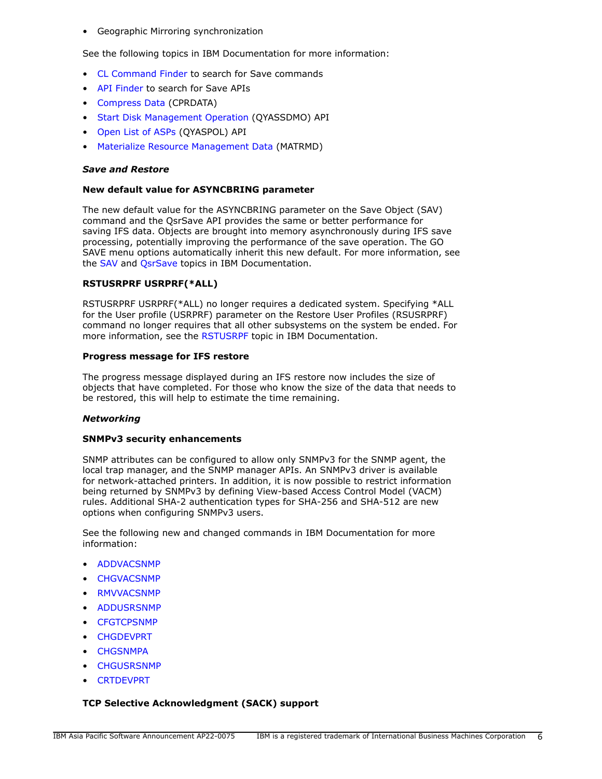• Geographic Mirroring synchronization

See the following topics in IBM Documentation for more information:

- [CL Command Finder](https://www.ibm.com/docs/en/i/7.5?topic=language-cl-command-finder) to search for Save commands
- [API Finder](https://www.ibm.com/docs/en/i/7.5?topic=interfaces-api-finder) to search for Save APIs
- [Compress Data](https://www.ibm.com/docs/en/i/7.5?topic=instructions-compress-data-cprdata) (CPRDATA)
- [Start Disk Management Operation](https://www.ibm.com/docs/en/i/7.5?topic=ssw_ibm_i_75/apis/qyassdmo.htm) (QYASSDMO) API
- [Open List of ASPs](https://www.ibm.com/docs/en/i/7.5?topic=ssw_ibm_i_75/apis/qyaspol.htm) (QYASPOL) API
- [Materialize Resource Management Data](https://www.ibm.com/docs/en/i/7.5?topic=instructions-materialize-resource-management-data-matrmd) (MATRMD)

### *Save and Restore*

### **New default value for ASYNCBRING parameter**

The new default value for the ASYNCBRING parameter on the Save Object (SAV) command and the QsrSave API provides the same or better performance for saving IFS data. Objects are brought into memory asynchronously during IFS save processing, potentially improving the performance of the save operation. The GO SAVE menu options automatically inherit this new default. For more information, see the [SAV](https://www.ibm.com/docs/en/i/7.5?topic=ssw_ibm_i_75/cl/sav.htm) and [QsrSave](https://www.ibm.com/docs/en/i/7.5?topic=ssw_ibm_i_75/apis/QsrSave.htm) topics in IBM Documentation.

### **RSTUSRPRF USRPRF(\*ALL)**

RSTUSRPRF USRPRF(\*ALL) no longer requires a dedicated system. Specifying \*ALL for the User profile (USRPRF) parameter on the Restore User Profiles (RSUSRPRF) command no longer requires that all other subsystems on the system be ended. For more information, see the [RSTUSRPF](https://www.ibm.com/docs/en/i/7.5?topic=ssw_ibm_i_75/cl/rstusrprf.htm) topic in IBM Documentation.

### **Progress message for IFS restore**

The progress message displayed during an IFS restore now includes the size of objects that have completed. For those who know the size of the data that needs to be restored, this will help to estimate the time remaining.

### *Networking*

### **SNMPv3 security enhancements**

SNMP attributes can be configured to allow only SNMPv3 for the SNMP agent, the local trap manager, and the SNMP manager APIs. An SNMPv3 driver is available for network-attached printers. In addition, it is now possible to restrict information being returned by SNMPv3 by defining View-based Access Control Model (VACM) rules. Additional SHA-2 authentication types for SHA-256 and SHA-512 are new options when configuring SNMPv3 users.

See the following new and changed commands in IBM Documentation for more information:

- [ADDVACSNMP](https://www.ibm.com/docs/api/v1/content/ssw_ibm_i_75/cl/addvacsnmp.htm)
- [CHGVACSNMP](https://www.ibm.com/docs/api/v1/content/ssw_ibm_i_75/cl/chgvacsnmp.htm)
- [RMVVACSNMP](https://www.ibm.com/docs/api/v1/content/ssw_ibm_i_75/cl/rmvvacsnmp.htm)
- [ADDUSRSNMP](https://www.ibm.com/docs/api/v1/content/ssw_ibm_i_75/cl/addusrsnmp.htm)
- **[CFGTCPSNMP](https://www.ibm.com/docs/api/v1/content/ssw_ibm_i_75/cl/cfgtcpsnmp.htm)**
- [CHGDEVPRT](https://www.ibm.com/docs/api/v1/content/ssw_ibm_i_75/cl/chgdevprt.htm)
- **[CHGSNMPA](https://www.ibm.com/docs/api/v1/content/ssw_ibm_i_75/cl/chgsnmpa.htm)**
- **[CHGUSRSNMP](https://www.ibm.com/docs/api/v1/content/ssw_ibm_i_75/cl/chgusrsnmp.htm)**
- [CRTDEVPRT](https://www.ibm.com/docs/api/v1/content/ssw_ibm_i_75/cl/crtdevprt.htm)

### **TCP Selective Acknowledgment (SACK) support**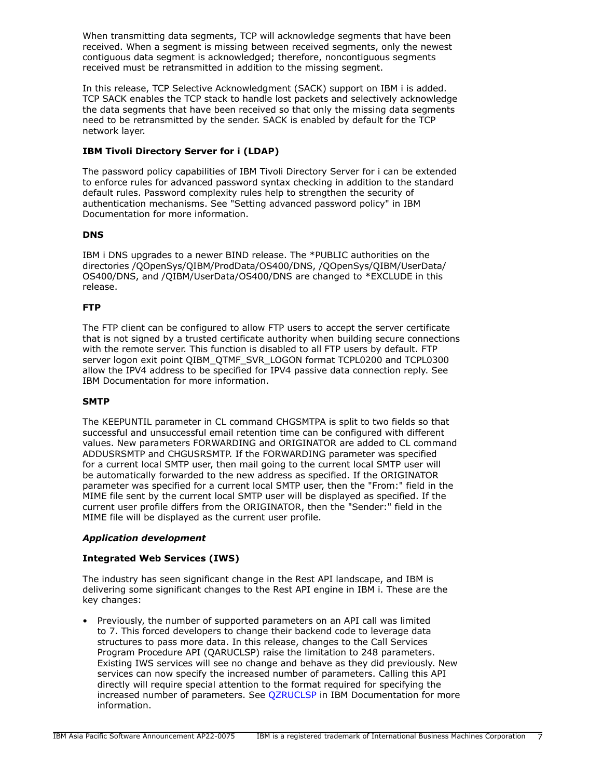When transmitting data segments, TCP will acknowledge segments that have been received. When a segment is missing between received segments, only the newest contiguous data segment is acknowledged; therefore, noncontiguous segments received must be retransmitted in addition to the missing segment.

In this release, TCP Selective Acknowledgment (SACK) support on IBM i is added. TCP SACK enables the TCP stack to handle lost packets and selectively acknowledge the data segments that have been received so that only the missing data segments need to be retransmitted by the sender. SACK is enabled by default for the TCP network layer.

# **IBM Tivoli Directory Server for i (LDAP)**

The password policy capabilities of IBM Tivoli Directory Server for i can be extended to enforce rules for advanced password syntax checking in addition to the standard default rules. Password complexity rules help to strengthen the security of authentication mechanisms. See "Setting advanced password policy" in IBM Documentation for more information.

# **DNS**

IBM i DNS upgrades to a newer BIND release. The \*PUBLIC authorities on the directories /QOpenSys/QIBM/ProdData/OS400/DNS, /QOpenSys/QIBM/UserData/ OS400/DNS, and /QIBM/UserData/OS400/DNS are changed to \*EXCLUDE in this release.

# **FTP**

The FTP client can be configured to allow FTP users to accept the server certificate that is not signed by a trusted certificate authority when building secure connections with the remote server. This function is disabled to all FTP users by default. FTP server logon exit point QIBM\_QTMF\_SVR\_LOGON format TCPL0200 and TCPL0300 allow the IPV4 address to be specified for IPV4 passive data connection reply. See IBM Documentation for more information.

# **SMTP**

The KEEPUNTIL parameter in CL command CHGSMTPA is split to two fields so that successful and unsuccessful email retention time can be configured with different values. New parameters FORWARDING and ORIGINATOR are added to CL command ADDUSRSMTP and CHGUSRSMTP. If the FORWARDING parameter was specified for a current local SMTP user, then mail going to the current local SMTP user will be automatically forwarded to the new address as specified. If the ORIGINATOR parameter was specified for a current local SMTP user, then the "From:" field in the MIME file sent by the current local SMTP user will be displayed as specified. If the current user profile differs from the ORIGINATOR, then the "Sender:" field in the MIME file will be displayed as the current user profile.

# *Application development*

# **Integrated Web Services (IWS)**

The industry has seen significant change in the Rest API landscape, and IBM is delivering some significant changes to the Rest API engine in IBM i. These are the key changes:

• Previously, the number of supported parameters on an API call was limited to 7. This forced developers to change their backend code to leverage data structures to pass more data. In this release, changes to the Call Services Program Procedure API (QARUCLSP) raise the limitation to 248 parameters. Existing IWS services will see no change and behave as they did previously. New services can now specify the increased number of parameters. Calling this API directly will require special attention to the format required for specifying the increased number of parameters. See [QZRUCLSP](https://www.ibm.com/docs/en/i/7.5?topic=ssw_ibm_i_75/apis/qzruclsp.htm) in IBM Documentation for more information.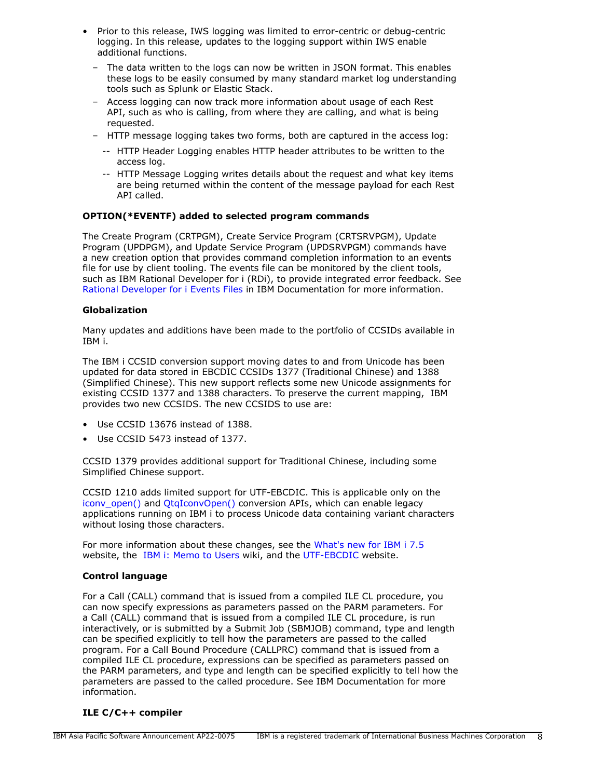- Prior to this release, IWS logging was limited to error-centric or debug-centric logging. In this release, updates to the logging support within IWS enable additional functions.
	- The data written to the logs can now be written in JSON format. This enables these logs to be easily consumed by many standard market log understanding tools such as Splunk or Elastic Stack.
	- Access logging can now track more information about usage of each Rest API, such as who is calling, from where they are calling, and what is being requested.
	- HTTP message logging takes two forms, both are captured in the access log:
		- -- HTTP Header Logging enables HTTP header attributes to be written to the access log.
		- -- HTTP Message Logging writes details about the request and what key items are being returned within the content of the message payload for each Rest API called.

# **OPTION(\*EVENTF) added to selected program commands**

The Create Program (CRTPGM), Create Service Program (CRTSRVPGM), Update Program (UPDPGM), and Update Service Program (UPDSRVPGM) commands have a new creation option that provides command completion information to an events file for use by client tooling. The events file can be monitored by the client tools, such as IBM Rational Developer for i (RDi), to provide integrated error feedback. See [Rational Developer for i Events Files](https://www.ibm.com/docs/en/rdfi/9.6.0?topic=reference-events-file-format) in IBM Documentation for more information.

# **Globalization**

Many updates and additions have been made to the portfolio of CCSIDs available in IBM i.

The IBM i CCSID conversion support moving dates to and from Unicode has been updated for data stored in EBCDIC CCSIDs 1377 (Traditional Chinese) and 1388 (Simplified Chinese). This new support reflects some new Unicode assignments for existing CCSID 1377 and 1388 characters. To preserve the current mapping, IBM provides two new CCSIDS. The new CCSIDS to use are:

- Use CCSID 13676 instead of 1388.
- Use CCSID 5473 instead of 1377.

CCSID 1379 provides additional support for Traditional Chinese, including some Simplified Chinese support.

CCSID 1210 adds limited support for UTF-EBCDIC. This is applicable only on the [iconv\\_open\(\)](https://www.ibm.com/docs/en/i/7.5?topic=ssw_ibm_i_75/apis/iconvopn.htm) and [QtqIconvOpen\(\)](https://www.ibm.com/docs/en/i/7.5?topic=ssw_ibm_i_75/apis/QTQICONV.htm) conversion APIs, which can enable legacy applications running on IBM i to process Unicode data containing variant characters without losing those characters.

For more information about these changes, see the [What's new for IBM i 7.5](https://www.ibm.com/docs/en/i/7.5?topic=globalization-whats-new-i-75) website, the [IBM i: Memo to Users](https://www.ibm.com/docs/en/i/7.5?topic=documentation-memo-users) wiki, and the [UTF-EBCDIC](https://www.ibm.com/docs/en/i/7.5?topic=unicode-utf-ebcdic) website.

# **Control language**

For a Call (CALL) command that is issued from a compiled ILE CL procedure, you can now specify expressions as parameters passed on the PARM parameters. For a Call (CALL) command that is issued from a compiled ILE CL procedure, is run interactively, or is submitted by a Submit Job (SBMJOB) command, type and length can be specified explicitly to tell how the parameters are passed to the called program. For a Call Bound Procedure (CALLPRC) command that is issued from a compiled ILE CL procedure, expressions can be specified as parameters passed on the PARM parameters, and type and length can be specified explicitly to tell how the parameters are passed to the called procedure. See IBM Documentation for more information.

# **ILE C/C++ compiler**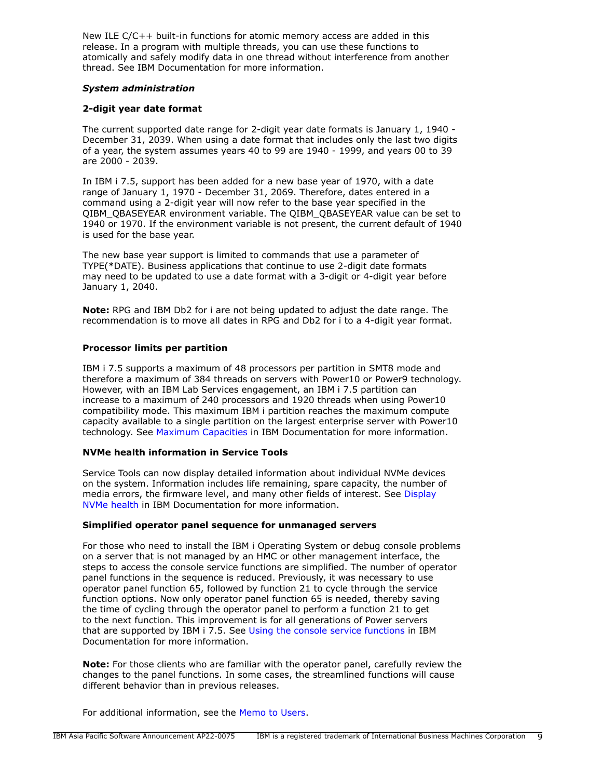New ILE C/C++ built-in functions for atomic memory access are added in this release. In a program with multiple threads, you can use these functions to atomically and safely modify data in one thread without interference from another thread. See IBM Documentation for more information.

### *System administration*

# **2-digit year date format**

The current supported date range for 2-digit year date formats is January 1, 1940 - December 31, 2039. When using a date format that includes only the last two digits of a year, the system assumes years 40 to 99 are 1940 - 1999, and years 00 to 39 are 2000 - 2039.

In IBM i 7.5, support has been added for a new base year of 1970, with a date range of January 1, 1970 - December 31, 2069. Therefore, dates entered in a command using a 2-digit year will now refer to the base year specified in the QIBM\_QBASEYEAR environment variable. The QIBM\_QBASEYEAR value can be set to 1940 or 1970. If the environment variable is not present, the current default of 1940 is used for the base year.

The new base year support is limited to commands that use a parameter of TYPE(\*DATE). Business applications that continue to use 2-digit date formats may need to be updated to use a date format with a 3-digit or 4-digit year before January 1, 2040.

**Note:** RPG and IBM Db2 for i are not being updated to adjust the date range. The recommendation is to move all dates in RPG and Db2 for i to a 4-digit year format.

### **Processor limits per partition**

IBM i 7.5 supports a maximum of 48 processors per partition in SMT8 mode and therefore a maximum of 384 threads on servers with Power10 or Power9 technology. However, with an IBM Lab Services engagement, an IBM i 7.5 partition can increase to a maximum of 240 processors and 1920 threads when using Power10 compatibility mode. This maximum IBM i partition reaches the maximum compute capacity available to a single partition on the largest enterprise server with Power10 technology. See [Maximum Capacities](https://www.ibm.com/docs/en/i/7.5?topic=availability-maximum-capacities) in IBM Documentation for more information.

### **NVMe health information in Service Tools**

Service Tools can now display detailed information about individual NVMe devices on the system. Information includes life remaining, spare capacity, the number of media errors, the firmware level, and many other fields of interest. See [Display](https://www.ibm.com/docs/en/i/7.5?topic=nvme-display-health) [NVMe health](https://www.ibm.com/docs/en/i/7.5?topic=nvme-display-health) in IBM Documentation for more information.

### **Simplified operator panel sequence for unmanaged servers**

For those who need to install the IBM i Operating System or debug console problems on a server that is not managed by an HMC or other management interface, the steps to access the console service functions are simplified. The number of operator panel functions in the sequence is reduced. Previously, it was necessary to use operator panel function 65, followed by function 21 to cycle through the service function options. Now only operator panel function 65 is needed, thereby saving the time of cycling through the operator panel to perform a function 21 to get to the next function. This improvement is for all generations of Power servers that are supported by IBM i 7.5. See [Using the console service functions](https://www.ibm.com/docs/en/i/7.5?topic=network-using-console-service-functions) in IBM Documentation for more information.

**Note:** For those clients who are familiar with the operator panel, carefully review the changes to the panel functions. In some cases, the streamlined functions will cause different behavior than in previous releases.

For additional information, see the [Memo to Users.](https://www.ibm.com/docs/en/i/7.5?topic=documentation-memo-users)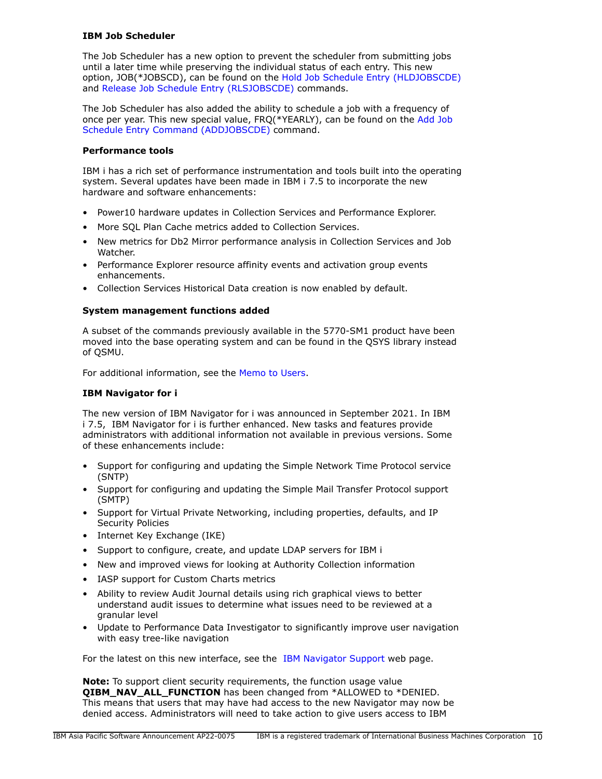# **IBM Job Scheduler**

The Job Scheduler has a new option to prevent the scheduler from submitting jobs until a later time while preserving the individual status of each entry. This new option, JOB(\*JOBSCD), can be found on the [Hold Job Schedule Entry \(HLDJOBSCDE\)](https://www.ibm.com/docs/api/v1/content/ssw_ibm_i_75/cl/hldjobscde.htm) and [Release Job Schedule Entry \(RLSJOBSCDE\)](https://www.ibm.com/docs/api/v1/content/ssw_ibm_i_75/cl/rlsjobscde.htm) commands.

The Job Scheduler has also added the ability to schedule a job with a frequency of once per year. This new special value, FRQ(\*YEARLY), can be found on the [Add Job](https://www.ibm.com/docs/api/v1/content/ssw_ibm_i_75/cl/addjobscde.htm) [Schedule Entry Command \(ADDJOBSCDE\)](https://www.ibm.com/docs/api/v1/content/ssw_ibm_i_75/cl/addjobscde.htm) command.

### **Performance tools**

IBM i has a rich set of performance instrumentation and tools built into the operating system. Several updates have been made in IBM i 7.5 to incorporate the new hardware and software enhancements:

- Power10 hardware updates in Collection Services and Performance Explorer.
- More SQL Plan Cache metrics added to Collection Services.
- New metrics for Db2 Mirror performance analysis in Collection Services and Job Watcher.
- Performance Explorer resource affinity events and activation group events enhancements.
- Collection Services Historical Data creation is now enabled by default.

### **System management functions added**

A subset of the commands previously available in the 5770-SM1 product have been moved into the base operating system and can be found in the QSYS library instead of QSMU.

For additional information, see the [Memo to Users.](https://www.ibm.com/docs/en/i/7.5?topic=documentation-memo-users)

# **IBM Navigator for i**

The new version of IBM Navigator for i was announced in September 2021. In IBM i 7.5, IBM Navigator for i is further enhanced. New tasks and features provide administrators with additional information not available in previous versions. Some of these enhancements include:

- Support for configuring and updating the Simple Network Time Protocol service (SNTP)
- Support for configuring and updating the Simple Mail Transfer Protocol support (SMTP)
- Support for Virtual Private Networking, including properties, defaults, and IP Security Policies
- Internet Key Exchange (IKE)
- Support to configure, create, and update LDAP servers for IBM i
- New and improved views for looking at Authority Collection information
- IASP support for Custom Charts metrics
- Ability to review Audit Journal details using rich graphical views to better understand audit issues to determine what issues need to be reviewed at a granular level
- Update to Performance Data Investigator to significantly improve user navigation with easy tree-like navigation

For the latest on this new interface, see the [IBM Navigator Support](https://www.ibm.com/support/pages/node/6483299) web page.

**Note:** To support client security requirements, the function usage value **QIBM\_NAV\_ALL\_FUNCTION** has been changed from \*ALLOWED to \*DENIED. This means that users that may have had access to the new Navigator may now be denied access. Administrators will need to take action to give users access to IBM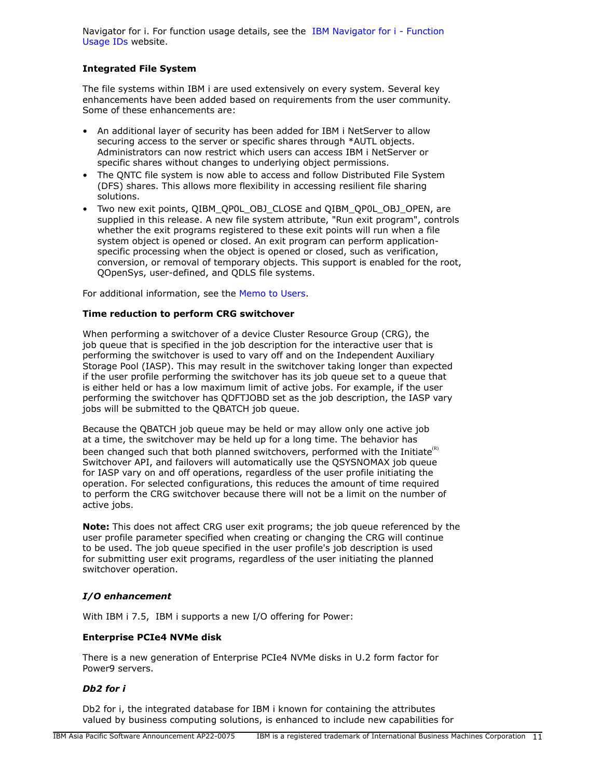Navigator for i. For function usage details, see the [IBM Navigator for i - Function](https://www.ibm.com/support/pages/node/6485853) [Usage IDs](https://www.ibm.com/support/pages/node/6485853) website.

# **Integrated File System**

The file systems within IBM i are used extensively on every system. Several key enhancements have been added based on requirements from the user community. Some of these enhancements are:

- An additional layer of security has been added for IBM i NetServer to allow securing access to the server or specific shares through \*AUTL objects. Administrators can now restrict which users can access IBM i NetServer or specific shares without changes to underlying object permissions.
- The QNTC file system is now able to access and follow Distributed File System (DFS) shares. This allows more flexibility in accessing resilient file sharing solutions.
- Two new exit points, QIBM\_QP0L\_OBJ\_CLOSE and QIBM\_QP0L\_OBJ\_OPEN, are supplied in this release. A new file system attribute, "Run exit program", controls whether the exit programs registered to these exit points will run when a file system object is opened or closed. An exit program can perform applicationspecific processing when the object is opened or closed, such as verification, conversion, or removal of temporary objects. This support is enabled for the root, QOpenSys, user-defined, and QDLS file systems.

For additional information, see the [Memo to Users.](https://www.ibm.com/docs/en/i/7.5?topic=documentation-memo-users)

# **Time reduction to perform CRG switchover**

When performing a switchover of a device Cluster Resource Group (CRG), the job queue that is specified in the job description for the interactive user that is performing the switchover is used to vary off and on the Independent Auxiliary Storage Pool (IASP). This may result in the switchover taking longer than expected if the user profile performing the switchover has its job queue set to a queue that is either held or has a low maximum limit of active jobs. For example, if the user performing the switchover has QDFTJOBD set as the job description, the IASP vary jobs will be submitted to the QBATCH job queue.

Because the QBATCH job queue may be held or may allow only one active job at a time, the switchover may be held up for a long time. The behavior has been changed such that both planned switchovers, performed with the Initiate $\mathbf{R}^{(R)}$ Switchover API, and failovers will automatically use the QSYSNOMAX job queue for IASP vary on and off operations, regardless of the user profile initiating the operation. For selected configurations, this reduces the amount of time required to perform the CRG switchover because there will not be a limit on the number of active jobs.

**Note:** This does not affect CRG user exit programs; the job queue referenced by the user profile parameter specified when creating or changing the CRG will continue to be used. The job queue specified in the user profile's job description is used for submitting user exit programs, regardless of the user initiating the planned switchover operation.

# *I/O enhancement*

With IBM i 7.5, IBM i supports a new I/O offering for Power:

# **Enterprise PCIe4 NVMe disk**

There is a new generation of Enterprise PCIe4 NVMe disks in U.2 form factor for Power9 servers.

# *Db2 for i*

Db2 for i, the integrated database for IBM i known for containing the attributes valued by business computing solutions, is enhanced to include new capabilities for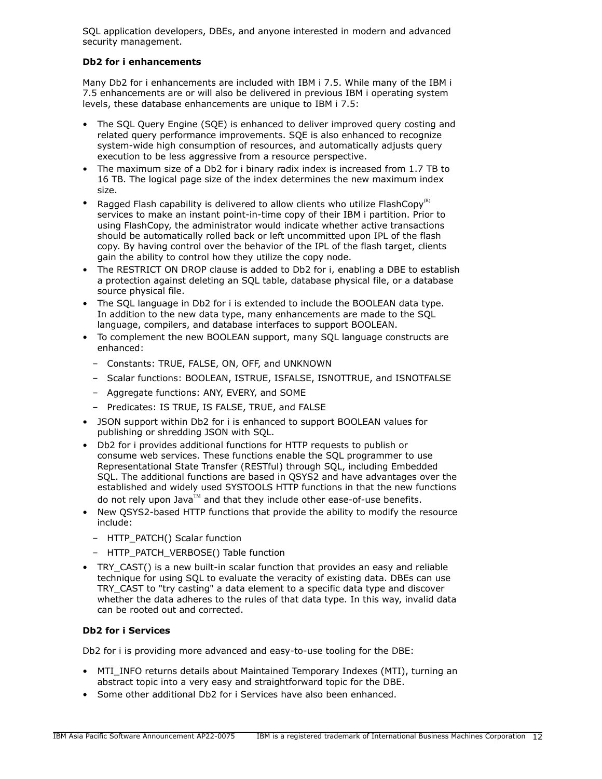SQL application developers, DBEs, and anyone interested in modern and advanced security management.

# **Db2 for i enhancements**

Many Db2 for i enhancements are included with IBM i 7.5. While many of the IBM i 7.5 enhancements are or will also be delivered in previous IBM i operating system levels, these database enhancements are unique to IBM i 7.5:

- The SQL Query Engine (SQE) is enhanced to deliver improved query costing and related query performance improvements. SQE is also enhanced to recognize system-wide high consumption of resources, and automatically adjusts query execution to be less aggressive from a resource perspective.
- The maximum size of a Db2 for i binary radix index is increased from 1.7 TB to 16 TB. The logical page size of the index determines the new maximum index size.
- Ragged Flash capability is delivered to allow clients who utilize FlashCopy<sup>(R)</sup> services to make an instant point-in-time copy of their IBM i partition. Prior to using FlashCopy, the administrator would indicate whether active transactions should be automatically rolled back or left uncommitted upon IPL of the flash copy. By having control over the behavior of the IPL of the flash target, clients gain the ability to control how they utilize the copy node.
- The RESTRICT ON DROP clause is added to Db2 for i, enabling a DBE to establish a protection against deleting an SQL table, database physical file, or a database source physical file.
- The SQL language in Db2 for i is extended to include the BOOLEAN data type. In addition to the new data type, many enhancements are made to the SQL language, compilers, and database interfaces to support BOOLEAN.
- To complement the new BOOLEAN support, many SQL language constructs are enhanced:
	- Constants: TRUE, FALSE, ON, OFF, and UNKNOWN
	- Scalar functions: BOOLEAN, ISTRUE, ISFALSE, ISNOTTRUE, and ISNOTFALSE
	- Aggregate functions: ANY, EVERY, and SOME
	- Predicates: IS TRUE, IS FALSE, TRUE, and FALSE
- JSON support within Db2 for i is enhanced to support BOOLEAN values for publishing or shredding JSON with SQL.
- Db2 for i provides additional functions for HTTP requests to publish or consume web services. These functions enable the SQL programmer to use Representational State Transfer (RESTful) through SQL, including Embedded SQL. The additional functions are based in QSYS2 and have advantages over the established and widely used SYSTOOLS HTTP functions in that the new functions do not rely upon Java™ and that they include other ease-of-use benefits.
- New QSYS2-based HTTP functions that provide the ability to modify the resource include:
	- HTTP\_PATCH() Scalar function
	- HTTP\_PATCH\_VERBOSE() Table function
- TRY\_CAST() is a new built-in scalar function that provides an easy and reliable technique for using SQL to evaluate the veracity of existing data. DBEs can use TRY\_CAST to "try casting" a data element to a specific data type and discover whether the data adheres to the rules of that data type. In this way, invalid data can be rooted out and corrected.

# **Db2 for i Services**

Db2 for i is providing more advanced and easy-to-use tooling for the DBE:

- MTI\_INFO returns details about Maintained Temporary Indexes (MTI), turning an abstract topic into a very easy and straightforward topic for the DBE.
- Some other additional Db2 for i Services have also been enhanced.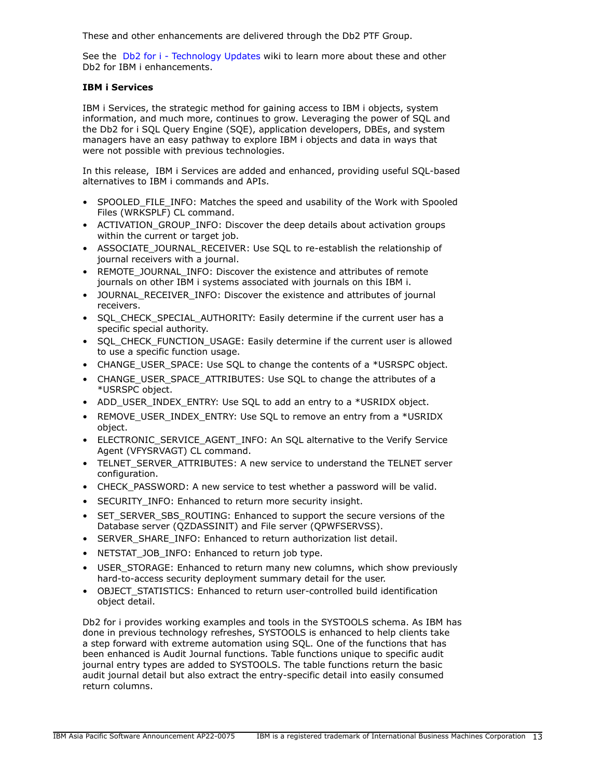These and other enhancements are delivered through the Db2 PTF Group.

See the [Db2 for i - Technology Updates](http://www.ibm.com/ibmi/techupdates/db2) wiki to learn more about these and other Db2 for IBM i enhancements.

# **IBM i Services**

IBM i Services, the strategic method for gaining access to IBM i objects, system information, and much more, continues to grow. Leveraging the power of SQL and the Db2 for i SQL Query Engine (SQE), application developers, DBEs, and system managers have an easy pathway to explore IBM i objects and data in ways that were not possible with previous technologies.

In this release, IBM i Services are added and enhanced, providing useful SQL-based alternatives to IBM i commands and APIs.

- SPOOLED FILE INFO: Matches the speed and usability of the Work with Spooled Files (WRKSPLF) CL command.
- ACTIVATION\_GROUP\_INFO: Discover the deep details about activation groups within the current or target job.
- ASSOCIATE\_JOURNAL\_RECEIVER: Use SQL to re-establish the relationship of journal receivers with a journal.
- REMOTE\_JOURNAL\_INFO: Discover the existence and attributes of remote journals on other IBM i systems associated with journals on this IBM i.
- JOURNAL\_RECEIVER\_INFO: Discover the existence and attributes of journal receivers.
- SQL\_CHECK\_SPECIAL\_AUTHORITY: Easily determine if the current user has a specific special authority.
- SQL\_CHECK\_FUNCTION\_USAGE: Easily determine if the current user is allowed to use a specific function usage.
- CHANGE\_USER\_SPACE: Use SQL to change the contents of a \*USRSPC object.
- CHANGE\_USER\_SPACE\_ATTRIBUTES: Use SOL to change the attributes of a \*USRSPC object.
- ADD\_USER\_INDEX\_ENTRY: Use SQL to add an entry to a \*USRIDX object.
- REMOVE\_USER\_INDEX\_ENTRY: Use SOL to remove an entry from a \*USRIDX object.
- ELECTRONIC SERVICE AGENT INFO: An SQL alternative to the Verify Service Agent (VFYSRVAGT) CL command.
- TELNET SERVER ATTRIBUTES: A new service to understand the TELNET server configuration.
- CHECK PASSWORD: A new service to test whether a password will be valid.
- SECURITY\_INFO: Enhanced to return more security insight.
- SET\_SERVER\_SBS\_ROUTING: Enhanced to support the secure versions of the Database server (QZDASSINIT) and File server (QPWFSERVSS).
- SERVER SHARE INFO: Enhanced to return authorization list detail.
- NETSTAT\_JOB\_INFO: Enhanced to return job type.
- USER\_STORAGE: Enhanced to return many new columns, which show previously hard-to-access security deployment summary detail for the user.
- OBJECT STATISTICS: Enhanced to return user-controlled build identification object detail.

Db2 for i provides working examples and tools in the SYSTOOLS schema. As IBM has done in previous technology refreshes, SYSTOOLS is enhanced to help clients take a step forward with extreme automation using SQL. One of the functions that has been enhanced is Audit Journal functions. Table functions unique to specific audit journal entry types are added to SYSTOOLS. The table functions return the basic audit journal detail but also extract the entry-specific detail into easily consumed return columns.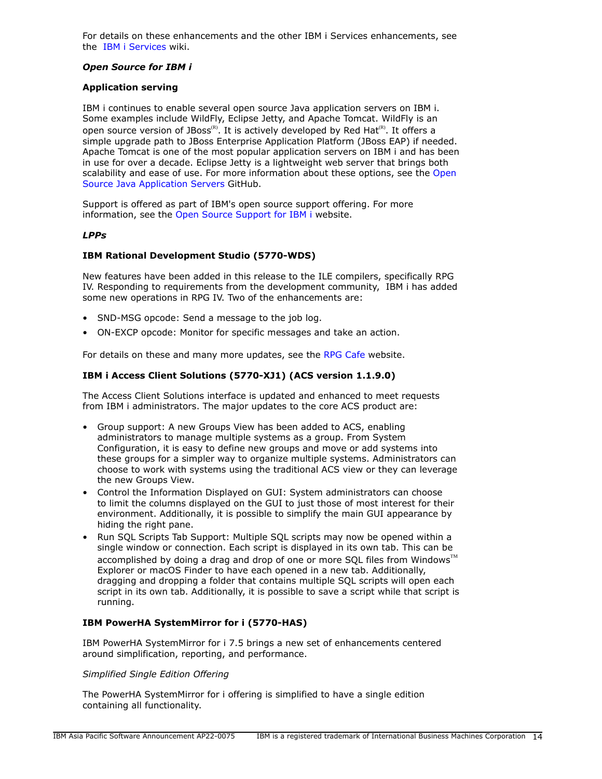For details on these enhancements and the other IBM i Services enhancements, see the [IBM i Services](http://ibm.biz/Db2foriServices) wiki.

### *Open Source for IBM i*

### **Application serving**

IBM i continues to enable several open source Java application servers on IBM i. Some examples include WildFly, Eclipse Jetty, and Apache Tomcat. WildFly is an open source version of JBoss<sup>(R)</sup>. It is actively developed by Red Hat<sup>(R)</sup>. It offers a simple upgrade path to JBoss Enterprise Application Platform (JBoss EAP) if needed. Apache Tomcat is one of the most popular application servers on IBM i and has been in use for over a decade. Eclipse Jetty is a lightweight web server that brings both scalability and ease of use. For more information about these options, see the [Open](https://ibmi-oss-docs.readthedocs.io/en/latest/java/APP_SERVERS.html) [Source Java Application Servers](https://ibmi-oss-docs.readthedocs.io/en/latest/java/APP_SERVERS.html) GitHub.

Support is offered as part of IBM's open source support offering. For more information, see the [Open Source Support for IBM i](http://ibm.biz/ibmi-oss-support) website.

### *LPPs*

### **IBM Rational Development Studio (5770-WDS)**

New features have been added in this release to the ILE compilers, specifically RPG IV. Responding to requirements from the development community, IBM i has added some new operations in RPG IV. Two of the enhancements are:

- SND-MSG opcode: Send a message to the job log.
- ON-EXCP opcode: Monitor for specific messages and take an action.

For details on these and many more updates, see the [RPG Cafe](https://ibm.biz/rpg_cafe) website.

### **IBM i Access Client Solutions (5770-XJ1) (ACS version 1.1.9.0)**

The Access Client Solutions interface is updated and enhanced to meet requests from IBM i administrators. The major updates to the core ACS product are:

- Group support: A new Groups View has been added to ACS, enabling administrators to manage multiple systems as a group. From System Configuration, it is easy to define new groups and move or add systems into these groups for a simpler way to organize multiple systems. Administrators can choose to work with systems using the traditional ACS view or they can leverage the new Groups View.
- Control the Information Displayed on GUI: System administrators can choose to limit the columns displayed on the GUI to just those of most interest for their environment. Additionally, it is possible to simplify the main GUI appearance by hiding the right pane.
- Run SQL Scripts Tab Support: Multiple SQL scripts may now be opened within a single window or connection. Each script is displayed in its own tab. This can be accomplished by doing a drag and drop of one or more SQL files from Windows $\mathbb{M}$ Explorer or macOS Finder to have each opened in a new tab. Additionally, dragging and dropping a folder that contains multiple SQL scripts will open each script in its own tab. Additionally, it is possible to save a script while that script is running.

### **IBM PowerHA SystemMirror for i (5770-HAS)**

IBM PowerHA SystemMirror for i 7.5 brings a new set of enhancements centered around simplification, reporting, and performance.

#### *Simplified Single Edition Offering*

The PowerHA SystemMirror for i offering is simplified to have a single edition containing all functionality.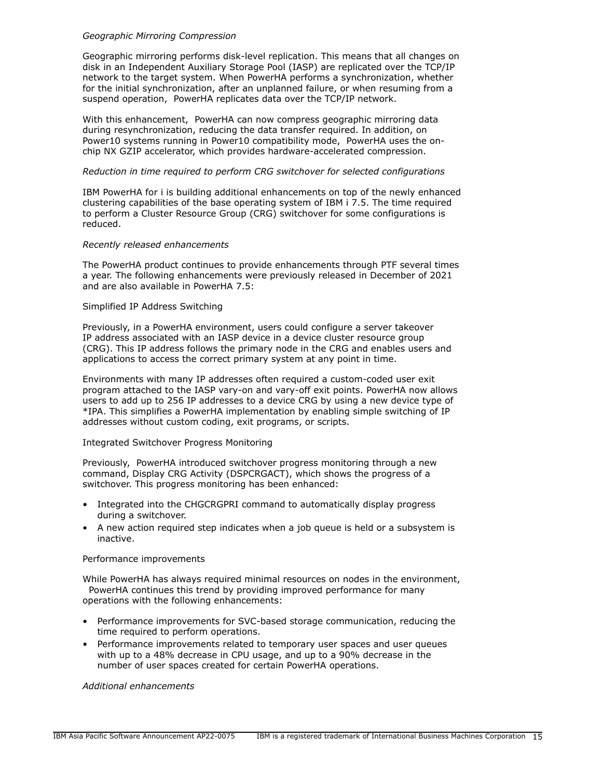### *Geographic Mirroring Compression*

Geographic mirroring performs disk-level replication. This means that all changes on disk in an Independent Auxiliary Storage Pool (IASP) are replicated over the TCP/IP network to the target system. When PowerHA performs a synchronization, whether for the initial synchronization, after an unplanned failure, or when resuming from a suspend operation, PowerHA replicates data over the TCP/IP network.

With this enhancement, PowerHA can now compress geographic mirroring data during resynchronization, reducing the data transfer required. In addition, on Power10 systems running in Power10 compatibility mode, PowerHA uses the onchip NX GZIP accelerator, which provides hardware-accelerated compression.

### *Reduction in time required to perform CRG switchover for selected configurations*

IBM PowerHA for i is building additional enhancements on top of the newly enhanced clustering capabilities of the base operating system of IBM i 7.5. The time required to perform a Cluster Resource Group (CRG) switchover for some configurations is reduced.

### *Recently released enhancements*

The PowerHA product continues to provide enhancements through PTF several times a year. The following enhancements were previously released in December of 2021 and are also available in PowerHA 7.5:

#### Simplified IP Address Switching

Previously, in a PowerHA environment, users could configure a server takeover IP address associated with an IASP device in a device cluster resource group (CRG). This IP address follows the primary node in the CRG and enables users and applications to access the correct primary system at any point in time.

Environments with many IP addresses often required a custom-coded user exit program attached to the IASP vary-on and vary-off exit points. PowerHA now allows users to add up to 256 IP addresses to a device CRG by using a new device type of \*IPA. This simplifies a PowerHA implementation by enabling simple switching of IP addresses without custom coding, exit programs, or scripts.

### Integrated Switchover Progress Monitoring

Previously, PowerHA introduced switchover progress monitoring through a new command, Display CRG Activity (DSPCRGACT), which shows the progress of a switchover. This progress monitoring has been enhanced:

- Integrated into the CHGCRGPRI command to automatically display progress during a switchover.
- A new action required step indicates when a job queue is held or a subsystem is inactive.

#### Performance improvements

While PowerHA has always required minimal resources on nodes in the environment, PowerHA continues this trend by providing improved performance for many operations with the following enhancements:

- Performance improvements for SVC-based storage communication, reducing the time required to perform operations.
- Performance improvements related to temporary user spaces and user queues with up to a 48% decrease in CPU usage, and up to a 90% decrease in the number of user spaces created for certain PowerHA operations.

*Additional enhancements*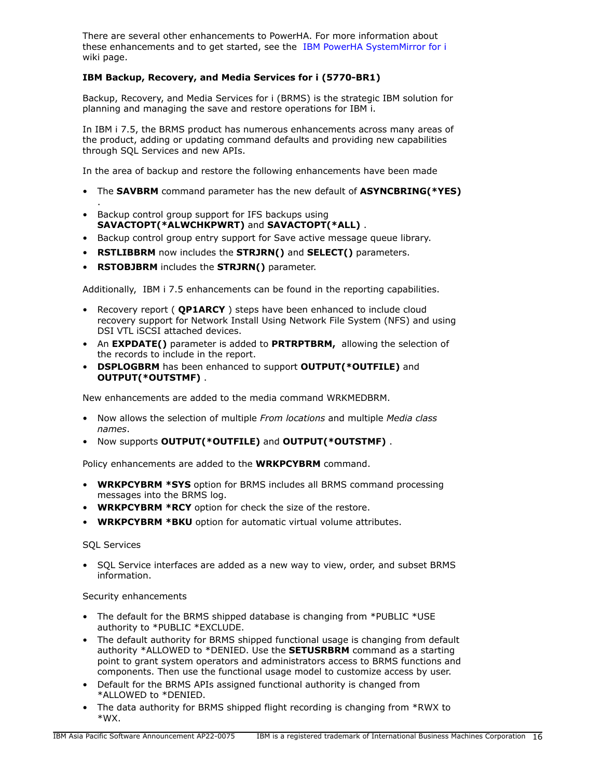There are several other enhancements to PowerHA. For more information about these enhancements and to get started, see the [IBM PowerHA SystemMirror for i](https://ibm.biz/ibmi-powerha) wiki page.

# **IBM Backup, Recovery, and Media Services for i (5770-BR1)**

Backup, Recovery, and Media Services for i (BRMS) is the strategic IBM solution for planning and managing the save and restore operations for IBM i.

In IBM i 7.5, the BRMS product has numerous enhancements across many areas of the product, adding or updating command defaults and providing new capabilities through SQL Services and new APIs.

In the area of backup and restore the following enhancements have been made

- The **SAVBRM** command parameter has the new default of **ASYNCBRING(\*YES)**
- Backup control group support for IFS backups using **SAVACTOPT(\*ALWCHKPWRT)** and **SAVACTOPT(\*ALL)** .
- Backup control group entry support for Save active message queue library.
- **RSTLIBBRM** now includes the **STRJRN()** and **SELECT()** parameters.
- **RSTOBJBRM** includes the **STRJRN()** parameter.

Additionally, IBM i 7.5 enhancements can be found in the reporting capabilities.

- Recovery report ( **QP1ARCY** ) steps have been enhanced to include cloud recovery support for Network Install Using Network File System (NFS) and using DSI VTL iSCSI attached devices.
- An **EXPDATE()** parameter is added to **PRTRPTBRM,** allowing the selection of the records to include in the report.
- **DSPLOGBRM** has been enhanced to support **OUTPUT(\*OUTFILE)** and **OUTPUT(\*OUTSTMF)** .

New enhancements are added to the media command WRKMEDBRM.

- Now allows the selection of multiple *From locations* and multiple *Media class names*.
- Now supports **OUTPUT(\*OUTFILE)** and **OUTPUT(\*OUTSTMF)** .

Policy enhancements are added to the **WRKPCYBRM** command.

- **WRKPCYBRM \*SYS** option for BRMS includes all BRMS command processing messages into the BRMS log.
- **WRKPCYBRM \*RCY** option for check the size of the restore.
- **WRKPCYBRM \*BKU** option for automatic virtual volume attributes.

# SQL Services

.

• SQL Service interfaces are added as a new way to view, order, and subset BRMS information.

# Security enhancements

- The default for the BRMS shipped database is changing from \*PUBLIC \*USE authority to \*PUBLIC \*EXCLUDE.
- The default authority for BRMS shipped functional usage is changing from default authority \*ALLOWED to \*DENIED. Use the **SETUSRBRM** command as a starting point to grant system operators and administrators access to BRMS functions and components. Then use the functional usage model to customize access by user.
- Default for the BRMS APIs assigned functional authority is changed from \*ALLOWED to \*DENIED.
- The data authority for BRMS shipped flight recording is changing from \*RWX to \*WX.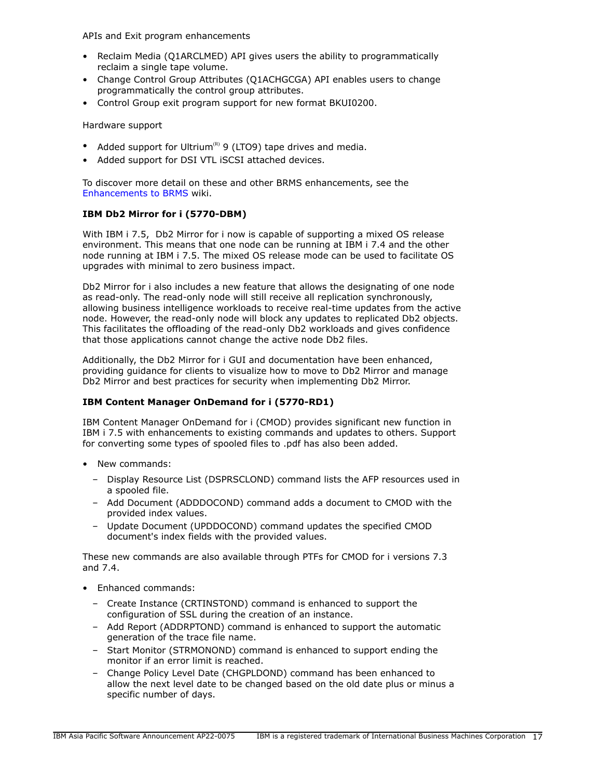APIs and Exit program enhancements

- Reclaim Media (Q1ARCLMED) API gives users the ability to programmatically reclaim a single tape volume.
- Change Control Group Attributes (Q1ACHGCGA) API enables users to change programmatically the control group attributes.
- Control Group exit program support for new format BKUI0200.

Hardware support

- Added support for Ultrium<sup>(R)</sup> 9 (LTO9) tape drives and media.
- Added support for DSI VTL iSCSI attached devices.

To discover more detail on these and other BRMS enhancements, see the [Enhancements to BRMS](https://helpsystemswiki.atlassian.net/wiki/spaces/IWT/pages/165642446/Enhancements+to+BRMS) wiki.

# **IBM Db2 Mirror for i (5770-DBM)**

With IBM i 7.5, Db2 Mirror for i now is capable of supporting a mixed OS release environment. This means that one node can be running at IBM i 7.4 and the other node running at IBM i 7.5. The mixed OS release mode can be used to facilitate OS upgrades with minimal to zero business impact.

Db2 Mirror for i also includes a new feature that allows the designating of one node as read-only. The read-only node will still receive all replication synchronously, allowing business intelligence workloads to receive real-time updates from the active node. However, the read-only node will block any updates to replicated Db2 objects. This facilitates the offloading of the read-only Db2 workloads and gives confidence that those applications cannot change the active node Db2 files.

Additionally, the Db2 Mirror for i GUI and documentation have been enhanced, providing guidance for clients to visualize how to move to Db2 Mirror and manage Db2 Mirror and best practices for security when implementing Db2 Mirror.

# **IBM Content Manager OnDemand for i (5770-RD1)**

IBM Content Manager OnDemand for i (CMOD) provides significant new function in IBM i 7.5 with enhancements to existing commands and updates to others. Support for converting some types of spooled files to .pdf has also been added.

- New commands:
	- Display Resource List (DSPRSCLOND) command lists the AFP resources used in a spooled file.
	- Add Document (ADDDOCOND) command adds a document to CMOD with the provided index values.
	- Update Document (UPDDOCOND) command updates the specified CMOD document's index fields with the provided values.

These new commands are also available through PTFs for CMOD for i versions 7.3 and 7.4.

- Enhanced commands:
	- Create Instance (CRTINSTOND) command is enhanced to support the configuration of SSL during the creation of an instance.
	- Add Report (ADDRPTOND) command is enhanced to support the automatic generation of the trace file name.
	- Start Monitor (STRMONOND) command is enhanced to support ending the monitor if an error limit is reached.
	- Change Policy Level Date (CHGPLDOND) command has been enhanced to allow the next level date to be changed based on the old date plus or minus a specific number of days.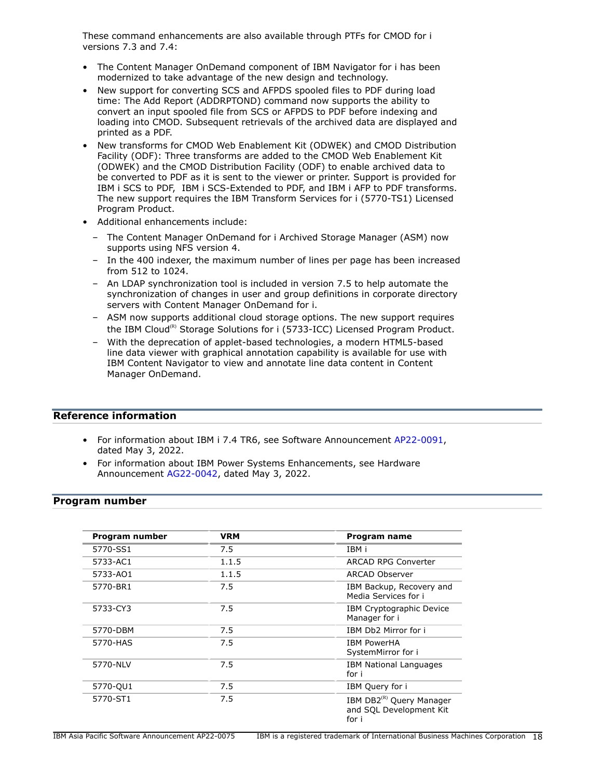These command enhancements are also available through PTFs for CMOD for i versions 7.3 and 7.4:

- The Content Manager OnDemand component of IBM Navigator for i has been modernized to take advantage of the new design and technology.
- New support for converting SCS and AFPDS spooled files to PDF during load time: The Add Report (ADDRPTOND) command now supports the ability to convert an input spooled file from SCS or AFPDS to PDF before indexing and loading into CMOD. Subsequent retrievals of the archived data are displayed and printed as a PDF.
- New transforms for CMOD Web Enablement Kit (ODWEK) and CMOD Distribution Facility (ODF): Three transforms are added to the CMOD Web Enablement Kit (ODWEK) and the CMOD Distribution Facility (ODF) to enable archived data to be converted to PDF as it is sent to the viewer or printer. Support is provided for IBM i SCS to PDF, IBM i SCS-Extended to PDF, and IBM i AFP to PDF transforms. The new support requires the IBM Transform Services for i (5770-TS1) Licensed Program Product.
- Additional enhancements include:
	- The Content Manager OnDemand for i Archived Storage Manager (ASM) now supports using NFS version 4.
	- In the 400 indexer, the maximum number of lines per page has been increased from 512 to 1024.
	- An LDAP synchronization tool is included in version 7.5 to help automate the synchronization of changes in user and group definitions in corporate directory servers with Content Manager OnDemand for i.
	- ASM now supports additional cloud storage options. The new support requires the IBM Cloud<sup>(R)</sup> Storage Solutions for i (5733-ICC) Licensed Program Product.
	- With the deprecation of applet-based technologies, a modern HTML5-based line data viewer with graphical annotation capability is available for use with IBM Content Navigator to view and annotate line data content in Content Manager OnDemand.

# **Reference information**

- For information about IBM i 7.4 TR6, see Software Announcement [AP22-0091](http://www.ibm.com/common/ssi/cgi-bin/ssialias?infotype=an&subtype=ca&appname=gpateam&supplier=872&letternum=ENUSAP22-0091), dated May 3, 2022.
- For information about IBM Power Systems Enhancements, see Hardware Announcement [AG22-0042](http://www.ibm.com/common/ssi/cgi-bin/ssialias?infotype=an&subtype=ca&appname=gpateam&supplier=872&letternum=ENUSAG22-0042), dated May 3, 2022.

# <span id="page-17-0"></span>**Program number**

| Program number | VRM   | Program name                                                             |
|----------------|-------|--------------------------------------------------------------------------|
| 5770-SS1       | 7.5   | IBM i                                                                    |
| 5733-AC1       | 1.1.5 | <b>ARCAD RPG Converter</b>                                               |
| 5733-AO1       | 1.1.5 | ARCAD Observer                                                           |
| 5770-BR1       | 7.5   | IBM Backup, Recovery and<br>Media Services for i                         |
| 5733-CY3       | 7.5   | IBM Cryptographic Device<br>Manager for i                                |
| 5770-DBM       | 7.5   | IBM Db2 Mirror for i                                                     |
| 5770-HAS       | 7.5   | <b>IBM PowerHA</b><br>SystemMirror for i                                 |
| 5770-NLV       | 7.5   | <b>IBM National Languages</b><br>for i                                   |
| 5770-QU1       | 7.5   | IBM Query for i                                                          |
| 5770-ST1       | 7.5   | IBM DB2 <sup>(R)</sup> Query Manager<br>and SQL Development Kit<br>for i |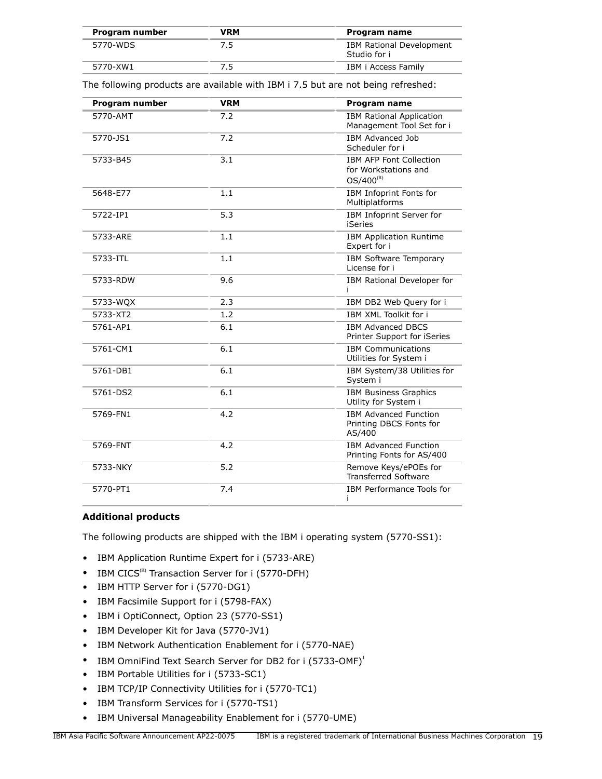| Program number | VRM | Program name                                    |
|----------------|-----|-------------------------------------------------|
| 5770-WDS       | 7.5 | <b>IBM Rational Development</b><br>Studio for i |
| 5770-XW1       |     | IBM i Access Family                             |

The following products are available with IBM i 7.5 but are not being refreshed:

| Program number | <b>VRM</b> | Program name                                                             |
|----------------|------------|--------------------------------------------------------------------------|
| 5770-AMT       | 7.2        | <b>IBM Rational Application</b><br>Management Tool Set for i             |
| 5770-JS1       | 7.2        | <b>IBM Advanced Job</b><br>Scheduler for i                               |
| 5733-B45       | 3.1        | <b>IBM AFP Font Collection</b><br>for Workstations and<br>$OS/400^{(R)}$ |
| 5648-E77       | 1.1        | IBM Infoprint Fonts for<br>Multiplatforms                                |
| 5722-IP1       | 5.3        | IBM Infoprint Server for<br><b>iSeries</b>                               |
| 5733-ARE       | 1.1        | <b>IBM Application Runtime</b><br>Expert for i                           |
| 5733-ITL       | 1.1        | <b>IBM Software Temporary</b><br>License for i                           |
| 5733-RDW       | 9.6        | IBM Rational Developer for                                               |
| 5733-WQX       | 2.3        | IBM DB2 Web Query for i                                                  |
| 5733-XT2       | 1.2        | IBM XML Toolkit for i                                                    |
| 5761-AP1       | 6.1        | <b>IBM Advanced DBCS</b><br>Printer Support for iSeries                  |
| 5761-CM1       | 6.1        | <b>IBM Communications</b><br>Utilities for System i                      |
| 5761-DB1       | 6.1        | IBM System/38 Utilities for<br>System i                                  |
| 5761-DS2       | 6.1        | <b>IBM Business Graphics</b><br>Utility for System i                     |
| 5769-FN1       | 4.2        | <b>IBM Advanced Function</b><br>Printing DBCS Fonts for<br>AS/400        |
| 5769-FNT       | 4.2        | <b>IBM Advanced Function</b><br>Printing Fonts for AS/400                |
| 5733-NKY       | 5.2        | Remove Keys/ePOEs for<br><b>Transferred Software</b>                     |
| 5770-PT1       | 7.4        | IBM Performance Tools for<br>Ť                                           |

# **Additional products**

The following products are shipped with the IBM i operating system (5770-SS1):

- IBM Application Runtime Expert for i (5733-ARE)
- IBM  $CICS^{(R)}$  Transaction Server for i (5770-DFH)
- IBM HTTP Server for i (5770-DG1)
- IBM Facsimile Support for i (5798-FAX)
- IBM i OptiConnect, Option 23 (5770-SS1)
- IBM Developer Kit for Java (5770-JV1)
- IBM Network Authentication Enablement for i (5770-NAE)
- IBM OmniFind Text Search Server for DB2 for i (5733-OMF)<sup>1</sup>
- IBM Portable Utilities for i (5733-SC1)
- IBM TCP/IP Connectivity Utilities for i (5770-TC1)
- IBM Transform Services for i (5770-TS1)
- IBM Universal Manageability Enablement for i (5770-UME)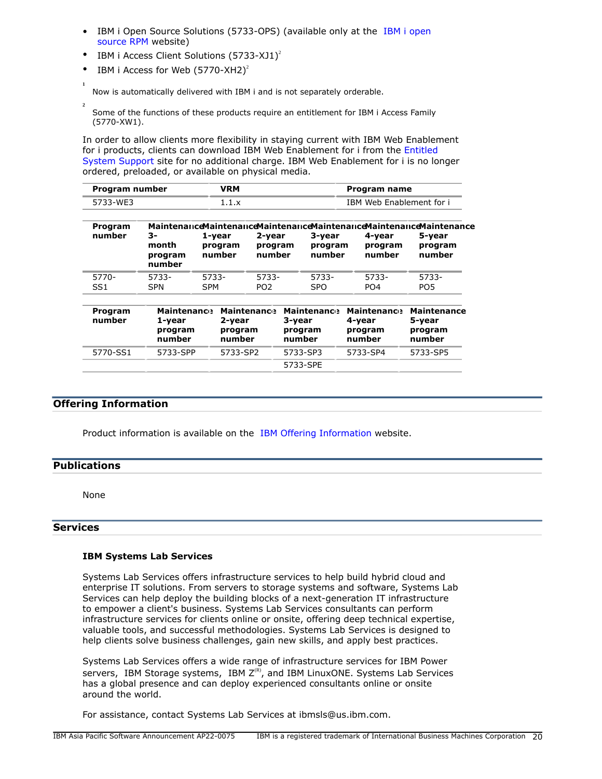- IBM i Open Source Solutions (5733-OPS) (available only at the [IBM i open](http://ibm.biz/ibmi-rpms) [source RPM](http://ibm.biz/ibmi-rpms) website)
- IBM i Access Client Solutions  $(5733-XJ1)^2$
- IBM i Access for Web  $(5770 XH2)^2$

Now is automatically delivered with IBM i and is not separately orderable.

**2** Some of the functions of these products require an entitlement for IBM i Access Family (5770-XW1).

In order to allow clients more flexibility in staying current with IBM Web Enablement for i products, clients can download IBM Web Enablement for i from the [Entitled](https://www.ibm.com/servers/eserver/ess/index.wss) [System Support](https://www.ibm.com/servers/eserver/ess/index.wss) site for no additional charge. IBM Web Enablement for i is no longer ordered, preloaded, or available on physical media.

| Program number | <b>/RM</b> | Program name             |
|----------------|------------|--------------------------|
| 5733-WF3       |            | IBM Web Enablement for i |

| Program<br>number        | 3-<br>month<br>program<br>number                  | 1-year<br>program<br>number | 2-year<br>program<br>number             | 3-year<br>program<br>number                       | 4-year<br>program<br>number                       | Maintenance Maintenance Maintenance Maintenance Maintenance Maintenance<br>5-year<br>program<br>number |
|--------------------------|---------------------------------------------------|-----------------------------|-----------------------------------------|---------------------------------------------------|---------------------------------------------------|--------------------------------------------------------------------------------------------------------|
| 5770-<br>SS <sub>1</sub> | 5733-<br><b>SPN</b>                               | 5733-<br><b>SPM</b>         | 5733-<br>PO <sub>2</sub>                | 5733-<br><b>SPO</b>                               | 5733-<br>PO <sub>4</sub>                          | 5733-<br>PO <sub>5</sub>                                                                               |
| Program<br>number        | <b>Maintenance</b><br>1-year<br>program<br>number | 2-year                      | <b>Maintenance</b><br>program<br>number | <b>Maintenance</b><br>3-year<br>program<br>number | <b>Maintenance</b><br>4-year<br>program<br>number | <b>Maintenance</b><br>5-year<br>program<br>number                                                      |
| 5770-SS1                 | 5733-SPP                                          |                             | 5733-SP2                                | 5733-SP3                                          | 5733-SP4                                          | 5733-SP5                                                                                               |

5733-SPE

# **Offering Information**

Product information is available on the [IBM Offering Information](http://www.ibm.com/common/ssi) website.

### <span id="page-19-0"></span>**Publications**

**1**

None

### **Services**

# **IBM Systems Lab Services**

Systems Lab Services offers infrastructure services to help build hybrid cloud and enterprise IT solutions. From servers to storage systems and software, Systems Lab Services can help deploy the building blocks of a next-generation IT infrastructure to empower a client's business. Systems Lab Services consultants can perform infrastructure services for clients online or onsite, offering deep technical expertise, valuable tools, and successful methodologies. Systems Lab Services is designed to help clients solve business challenges, gain new skills, and apply best practices.

Systems Lab Services offers a wide range of infrastructure services for IBM Power servers, IBM Storage systems, IBM  $Z^{(R)}$ , and IBM LinuxONE. Systems Lab Services has a global presence and can deploy experienced consultants online or onsite around the world.

For assistance, contact Systems Lab Services at ibmsls@us.ibm.com.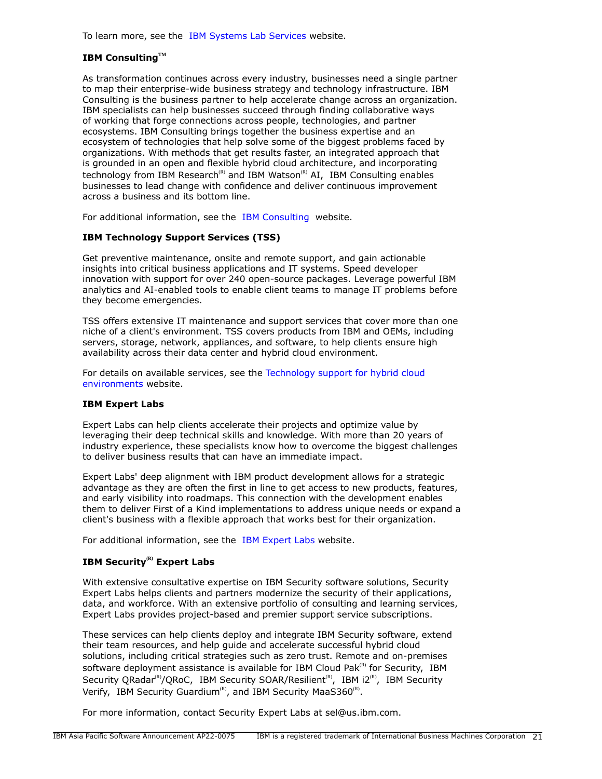To learn more, see the [IBM Systems Lab Services](https://www.ibm.com/it-infrastructure/services/lab-services) website.

# **IBM ConsultingTM**

As transformation continues across every industry, businesses need a single partner to map their enterprise-wide business strategy and technology infrastructure. IBM Consulting is the business partner to help accelerate change across an organization. IBM specialists can help businesses succeed through finding collaborative ways of working that forge connections across people, technologies, and partner ecosystems. IBM Consulting brings together the business expertise and an ecosystem of technologies that help solve some of the biggest problems faced by organizations. With methods that get results faster, an integrated approach that is grounded in an open and flexible hybrid cloud architecture, and incorporating technology from IBM Research<sup>(R)</sup> and IBM Watson<sup>(R)</sup> AI, IBM Consulting enables businesses to lead change with confidence and deliver continuous improvement across a business and its bottom line.

For additional information, see the [IBM Consulting](https://www.ibm.com/consulting) website.

### **IBM Technology Support Services (TSS)**

Get preventive maintenance, onsite and remote support, and gain actionable insights into critical business applications and IT systems. Speed developer innovation with support for over 240 open-source packages. Leverage powerful IBM analytics and AI-enabled tools to enable client teams to manage IT problems before they become emergencies.

TSS offers extensive IT maintenance and support services that cover more than one niche of a client's environment. TSS covers products from IBM and OEMs, including servers, storage, network, appliances, and software, to help clients ensure high availability across their data center and hybrid cloud environment.

For details on available services, see the [Technology support for hybrid cloud](https://www.ibm.com/services/technology-support) [environments](https://www.ibm.com/services/technology-support) website.

### **IBM Expert Labs**

Expert Labs can help clients accelerate their projects and optimize value by leveraging their deep technical skills and knowledge. With more than 20 years of industry experience, these specialists know how to overcome the biggest challenges to deliver business results that can have an immediate impact.

Expert Labs' deep alignment with IBM product development allows for a strategic advantage as they are often the first in line to get access to new products, features, and early visibility into roadmaps. This connection with the development enables them to deliver First of a Kind implementations to address unique needs or expand a client's business with a flexible approach that works best for their organization.

For additional information, see the [IBM Expert Labs](https://www.ibm.com/products/expertlabs) website.

# **IBM Security(R) Expert Labs**

With extensive consultative expertise on IBM Security software solutions, Security Expert Labs helps clients and partners modernize the security of their applications, data, and workforce. With an extensive portfolio of consulting and learning services, Expert Labs provides project-based and premier support service subscriptions.

These services can help clients deploy and integrate IBM Security software, extend their team resources, and help guide and accelerate successful hybrid cloud solutions, including critical strategies such as zero trust. Remote and on-premises software deployment assistance is available for IBM Cloud Pak $R$ <sup>(R)</sup> for Security, IBM Security QRadar<sup>(R)</sup>/QRoC, IBM Security SOAR/Resilient<sup>(R)</sup>, IBM i2<sup>(R)</sup>, IBM Security Verify, IBM Security Guardium<sup>(R)</sup>, and IBM Security MaaS360<sup>(R)</sup>.

For more information, contact Security Expert Labs at sel@us.ibm.com.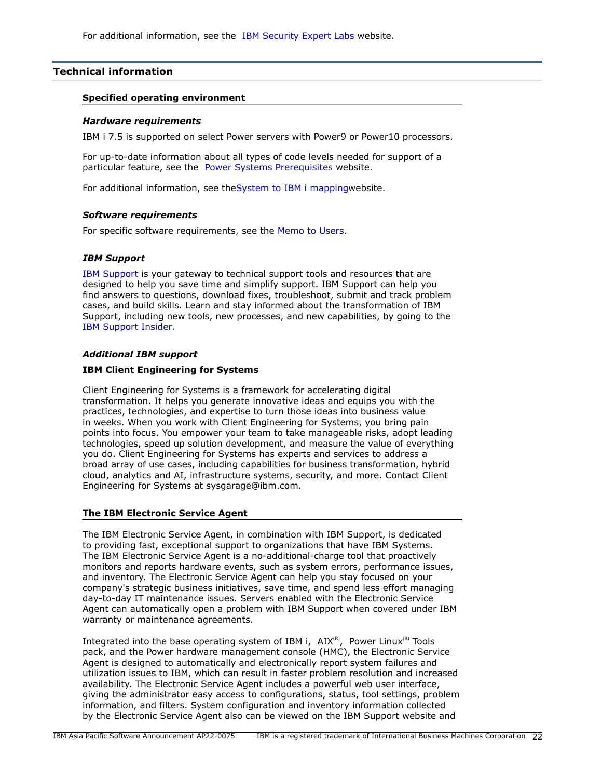# <span id="page-21-0"></span>**Technical information**

### **Specified operating environment**

#### *Hardware requirements*

IBM i 7.5 is supported on select Power servers with Power9 or Power10 processors.

For up-to-date information about all types of code levels needed for support of a particular feature, see the [Power Systems Prerequisites](https://www-912.ibm.com/e_dir/eServerPrereq.nsf) website.

For additional information, see th[eSystem to IBM i mappingw](http://www-01.ibm.com/support/docview.wss?uid=ssm1platformibmi)ebsite.

#### *Software requirements*

For specific software requirements, see the [Memo to Users.](https://www.ibm.com/docs/en/i/7.5?topic=documentation-memo-users)

### *IBM Support*

[IBM Support](https://www.ibm.com/support) is your gateway to technical support tools and resources that are designed to help you save time and simplify support. IBM Support can help you find answers to questions, download fixes, troubleshoot, submit and track problem cases, and build skills. Learn and stay informed about the transformation of IBM Support, including new tools, new processes, and new capabilities, by going to the [IBM Support Insider](https://www.ibm.com/support/insider).

### *Additional IBM support*

### **IBM Client Engineering for Systems**

Client Engineering for Systems is a framework for accelerating digital transformation. It helps you generate innovative ideas and equips you with the practices, technologies, and expertise to turn those ideas into business value in weeks. When you work with Client Engineering for Systems, you bring pain points into focus. You empower your team to take manageable risks, adopt leading technologies, speed up solution development, and measure the value of everything you do. Client Engineering for Systems has experts and services to address a broad array of use cases, including capabilities for business transformation, hybrid cloud, analytics and AI, infrastructure systems, security, and more. Contact Client Engineering for Systems at sysgarage@ibm.com.

### **The IBM Electronic Service Agent**

The IBM Electronic Service Agent, in combination with IBM Support, is dedicated to providing fast, exceptional support to organizations that have IBM Systems. The IBM Electronic Service Agent is a no-additional-charge tool that proactively monitors and reports hardware events, such as system errors, performance issues, and inventory. The Electronic Service Agent can help you stay focused on your company's strategic business initiatives, save time, and spend less effort managing day-to-day IT maintenance issues. Servers enabled with the Electronic Service Agent can automatically open a problem with IBM Support when covered under IBM warranty or maintenance agreements.

Integrated into the base operating system of IBM i,  $AIX^{(R)}$ , Power Linux<sup>(R)</sup> Tools pack, and the Power hardware management console (HMC), the Electronic Service Agent is designed to automatically and electronically report system failures and utilization issues to IBM, which can result in faster problem resolution and increased availability. The Electronic Service Agent includes a powerful web user interface, giving the administrator easy access to configurations, status, tool settings, problem information, and filters. System configuration and inventory information collected by the Electronic Service Agent also can be viewed on the IBM Support website and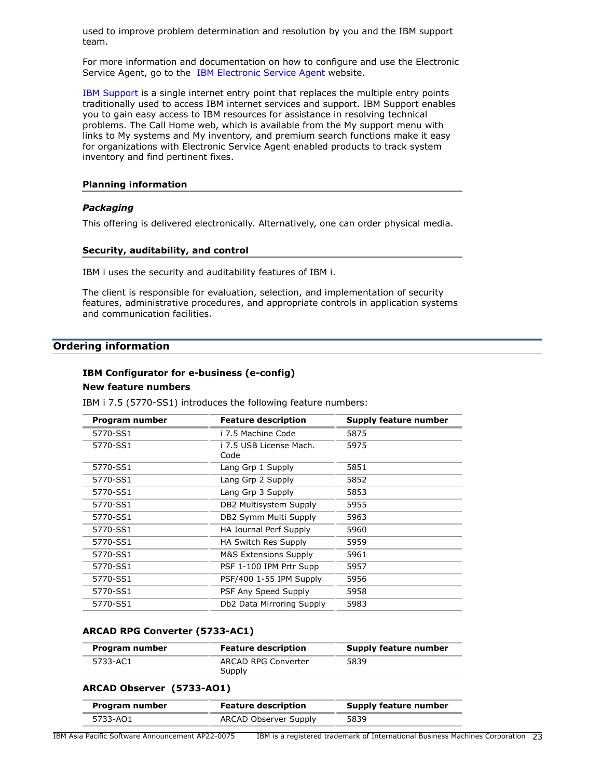used to improve problem determination and resolution by you and the IBM support team.

For more information and documentation on how to configure and use the Electronic Service Agent, go to the [IBM Electronic Service Agent](http://www.ibm.com/support/pages/esa) website.

[IBM Support](http://www.ibm.com/support) is a single internet entry point that replaces the multiple entry points traditionally used to access IBM internet services and support. IBM Support enables you to gain easy access to IBM resources for assistance in resolving technical problems. The Call Home web, which is available from the My support menu with links to My systems and My inventory, and premium search functions make it easy for organizations with Electronic Service Agent enabled products to track system inventory and find pertinent fixes.

#### **Planning information**

### *Packaging*

This offering is delivered electronically. Alternatively, one can order physical media.

#### **Security, auditability, and control**

IBM i uses the security and auditability features of IBM i.

The client is responsible for evaluation, selection, and implementation of security features, administrative procedures, and appropriate controls in application systems and communication facilities.

# <span id="page-22-0"></span>**Ordering information**

# **IBM Configurator for e-business (e-config)**

# **New feature numbers**

IBM i 7.5 (5770-SS1) introduces the following feature numbers:

| Program number | <b>Feature description</b>       | <b>Supply feature number</b> |
|----------------|----------------------------------|------------------------------|
| 5770-SS1       | i 7.5 Machine Code               | 5875                         |
| 5770-SS1       | i 7.5 USB License Mach.<br>Code  | 5975                         |
| 5770-SS1       | Lang Grp 1 Supply                | 5851                         |
| 5770-SS1       | Lang Grp 2 Supply                | 5852                         |
| 5770-SS1       | Lang Grp 3 Supply                | 5853                         |
| 5770-SS1       | DB2 Multisystem Supply           | 5955                         |
| 5770-SS1       | DB2 Symm Multi Supply            | 5963                         |
| 5770-SS1       | HA Journal Perf Supply           | 5960                         |
| 5770-SS1       | HA Switch Res Supply             | 5959                         |
| 5770-SS1       | <b>M&amp;S Extensions Supply</b> | 5961                         |
| 5770-SS1       | PSF 1-100 IPM Prtr Supp          | 5957                         |
| 5770-SS1       | PSF/400 1-55 IPM Supply          | 5956                         |
| 5770-SS1       | PSF Any Speed Supply             | 5958                         |
| 5770-SS1       | Db2 Data Mirroring Supply        | 5983                         |

### **ARCAD RPG Converter (5733-AC1)**

| Program number | <b>Feature description</b>    | Supply feature number |
|----------------|-------------------------------|-----------------------|
| 5733-AC1       | ARCAD RPG Converter<br>Supply | 5839                  |

### **ARCAD Observer (5733-AO1)**

| Program number | <b>Feature description</b>   | Supply feature number |
|----------------|------------------------------|-----------------------|
| 5733-AO1       | <b>ARCAD Observer Supply</b> | 5839                  |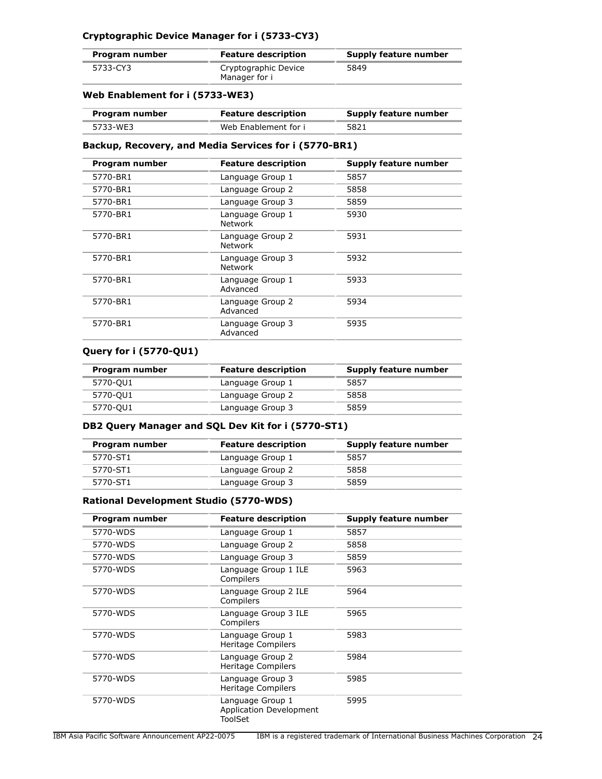# **Cryptographic Device Manager for i (5733-CY3)**

| Program number | <b>Feature description</b>            | Supply feature number |
|----------------|---------------------------------------|-----------------------|
| 5733-CY3       | Cryptographic Device<br>Manager for i | 5849                  |

# **Web Enablement for i (5733-WE3)**

| Program number | <b>Feature description</b> | Supply feature number |
|----------------|----------------------------|-----------------------|
| 5733-WE3       | Web Enablement for i       | 5821                  |

### **Backup, Recovery, and Media Services for i (5770-BR1)**

| Program number | <b>Feature description</b>         | Supply feature number |
|----------------|------------------------------------|-----------------------|
| 5770-BR1       | Language Group 1                   | 5857                  |
| 5770-BR1       | Language Group 2                   | 5858                  |
| 5770-BR1       | Language Group 3                   | 5859                  |
| 5770-BR1       | Language Group 1<br><b>Network</b> | 5930                  |
| 5770-BR1       | Language Group 2<br><b>Network</b> | 5931                  |
| 5770-BR1       | Language Group 3<br><b>Network</b> | 5932                  |
| 5770-BR1       | Language Group 1<br>Advanced       | 5933                  |
| 5770-BR1       | Language Group 2<br>Advanced       | 5934                  |
| 5770-BR1       | Language Group 3<br>Advanced       | 5935                  |

### **Query for i (5770-QU1)**

| Program number | <b>Feature description</b> | <b>Supply feature number</b> |
|----------------|----------------------------|------------------------------|
| 5770-QU1       | Language Group 1           | 5857                         |
| 5770-QU1       | Language Group 2           | 5858                         |
| 5770-QU1       | Language Group 3           | 5859                         |

# **DB2 Query Manager and SQL Dev Kit for i (5770-ST1)**

| Program number | <b>Feature description</b> | Supply feature number |
|----------------|----------------------------|-----------------------|
| 5770-ST1       | Language Group 1           | 5857                  |
| 5770-ST1       | Language Group 2           | 5858                  |
| 5770-ST1       | Language Group 3           | 5859                  |

# **Rational Development Studio (5770-WDS)**

| Program number | <b>Feature description</b>                                    | Supply feature number |
|----------------|---------------------------------------------------------------|-----------------------|
| 5770-WDS       | Language Group 1                                              | 5857                  |
| 5770-WDS       | Language Group 2                                              | 5858                  |
| 5770-WDS       | Language Group 3                                              | 5859                  |
| 5770-WDS       | Language Group 1 ILE<br>Compilers                             | 5963                  |
| 5770-WDS       | Language Group 2 ILE<br>Compilers                             | 5964                  |
| 5770-WDS       | Language Group 3 ILE<br>Compilers                             | 5965                  |
| 5770-WDS       | Language Group 1<br>Heritage Compilers                        | 5983                  |
| 5770-WDS       | Language Group 2<br>Heritage Compilers                        | 5984                  |
| 5770-WDS       | Language Group 3<br>Heritage Compilers                        | 5985                  |
| 5770-WDS       | Language Group 1<br><b>Application Development</b><br>ToolSet | 5995                  |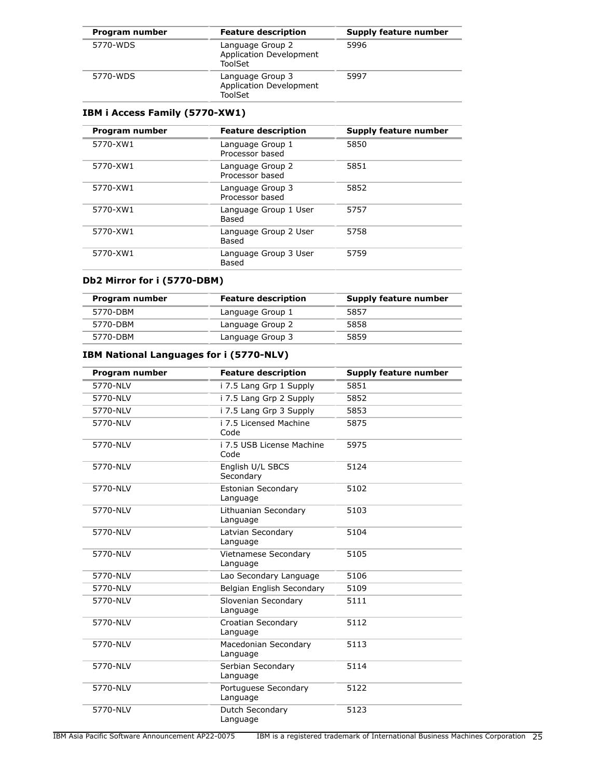| Program number | <b>Feature description</b>                                    | Supply feature number |
|----------------|---------------------------------------------------------------|-----------------------|
| 5770-WDS       | Language Group 2<br><b>Application Development</b><br>ToolSet | 5996                  |
| 5770-WDS       | Language Group 3<br><b>Application Development</b><br>ToolSet | 5997                  |

# **IBM i Access Family (5770-XW1)**

| Program number | <b>Feature description</b>          | Supply feature number |
|----------------|-------------------------------------|-----------------------|
| 5770-XW1       | Language Group 1<br>Processor based | 5850                  |
| 5770-XW1       | Language Group 2<br>Processor based | 5851                  |
| 5770-XW1       | Language Group 3<br>Processor based | 5852                  |
| 5770-XW1       | Language Group 1 User<br>Based      | 5757                  |
| 5770-XW1       | Language Group 2 User<br>Based      | 5758                  |
| 5770-XW1       | Language Group 3 User<br>Based      | 5759                  |

# **Db2 Mirror for i (5770-DBM)**

| Program number | <b>Feature description</b> | Supply feature number |
|----------------|----------------------------|-----------------------|
| 5770-DBM       | Language Group 1           | 5857                  |
| 5770-DBM       | Language Group 2           | 5858                  |
| 5770-DBM       | Language Group 3           | 5859                  |

# **IBM National Languages for i (5770-NLV)**

| Program number | <b>Feature description</b>              | <b>Supply feature number</b> |
|----------------|-----------------------------------------|------------------------------|
| 5770-NLV       | i 7.5 Lang Grp 1 Supply                 | 5851                         |
| 5770-NLV       | i 7.5 Lang Grp 2 Supply                 | 5852                         |
| 5770-NLV       | i 7.5 Lang Grp 3 Supply                 | 5853                         |
| 5770-NLV       | i 7.5 Licensed Machine<br>Code          | 5875                         |
| 5770-NLV       | i 7.5 USB License Machine<br>Code       | 5975                         |
| 5770-NLV       | English U/L SBCS<br>Secondary           | 5124                         |
| 5770-NLV       | <b>Estonian Secondary</b><br>Language   | 5102                         |
| 5770-NLV       | Lithuanian Secondary<br>Language        | 5103                         |
| 5770-NLV       | Latvian Secondary<br>Language           | 5104                         |
| 5770-NLV       | <b>Vietnamese Secondary</b><br>Language | 5105                         |
| 5770-NLV       | Lao Secondary Language                  | 5106                         |
| 5770-NLV       | Belgian English Secondary               | 5109                         |
| 5770-NLV       | Slovenian Secondary<br>Language         | 5111                         |
| 5770-NLV       | Croatian Secondary<br>Language          | 5112                         |
| 5770-NLV       | Macedonian Secondary<br>Language        | 5113                         |
| 5770-NLV       | Serbian Secondary<br>Language           | 5114                         |
| 5770-NLV       | Portuguese Secondary<br>Language        | 5122                         |
| 5770-NLV       | Dutch Secondary<br>Language             | 5123                         |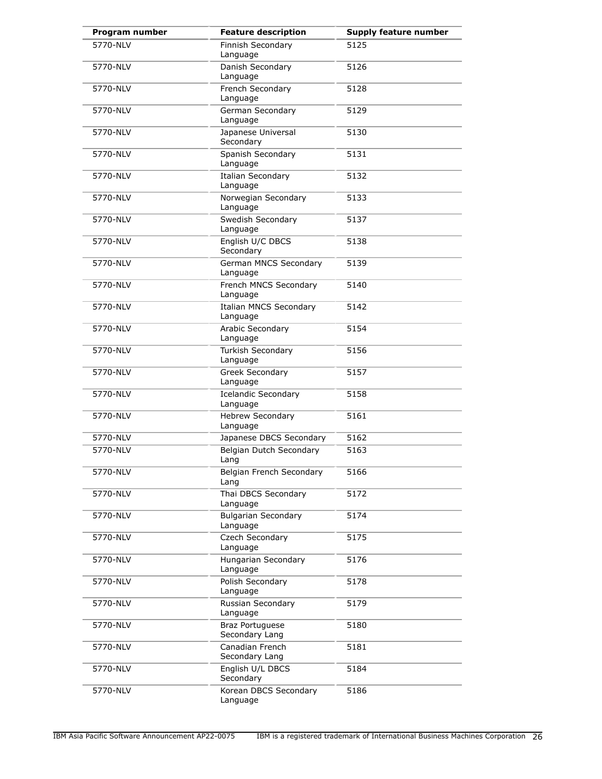| Program number | <b>Feature description</b>                | <b>Supply feature number</b> |
|----------------|-------------------------------------------|------------------------------|
| 5770-NLV       | Finnish Secondary<br>Language             | 5125                         |
| 5770-NLV       | Danish Secondary<br>Language              | 5126                         |
| 5770-NLV       | French Secondary<br>Language              | 5128                         |
| 5770-NLV       | German Secondary<br>Language              | 5129                         |
| 5770-NLV       | Japanese Universal<br>Secondary           | 5130                         |
| 5770-NLV       | Spanish Secondary<br>Language             | 5131                         |
| 5770-NLV       | <b>Italian Secondary</b><br>Language      | 5132                         |
| 5770-NLV       | Norwegian Secondary<br>Language           | 5133                         |
| 5770-NLV       | Swedish Secondary<br>Language             | 5137                         |
| 5770-NLV       | English U/C DBCS<br>Secondary             | 5138                         |
| 5770-NLV       | German MNCS Secondary<br>Language         | 5139                         |
| 5770-NLV       | French MNCS Secondary<br>Language         | 5140                         |
| 5770-NLV       | <b>Italian MNCS Secondary</b><br>Language | 5142                         |
| 5770-NLV       | Arabic Secondary<br>Language              | 5154                         |
| 5770-NLV       | Turkish Secondary<br>Language             | 5156                         |
| 5770-NLV       | Greek Secondary<br>Language               | 5157                         |
| 5770-NLV       | Icelandic Secondary<br>Language           | 5158                         |
| 5770-NLV       | <b>Hebrew Secondary</b><br>Language       | 5161                         |
| 5770-NLV       | Japanese DBCS Secondary                   | 5162                         |
| 5770-NLV       | Belgian Dutch Secondary<br>Lang           | 5163                         |
| 5770-NLV       | Belgian French Secondary<br>Lang          | 5166                         |
| 5770-NLV       | Thai DBCS Secondary<br>Language           | 5172                         |
| 5770-NLV       | <b>Bulgarian Secondary</b><br>Language    | 5174                         |
| 5770-NLV       | Czech Secondary<br>Language               | 5175                         |
| 5770-NLV       | Hungarian Secondary<br>Language           | 5176                         |
| 5770-NLV       | Polish Secondary<br>Language              | 5178                         |
| 5770-NLV       | Russian Secondary<br>Language             | 5179                         |
| 5770-NLV       | <b>Braz Portuguese</b><br>Secondary Lang  | 5180                         |
| 5770-NLV       | Canadian French<br>Secondary Lang         | 5181                         |
| 5770-NLV       | English U/L DBCS<br>Secondary             | 5184                         |
| 5770-NLV       | Korean DBCS Secondary<br>Language         | 5186                         |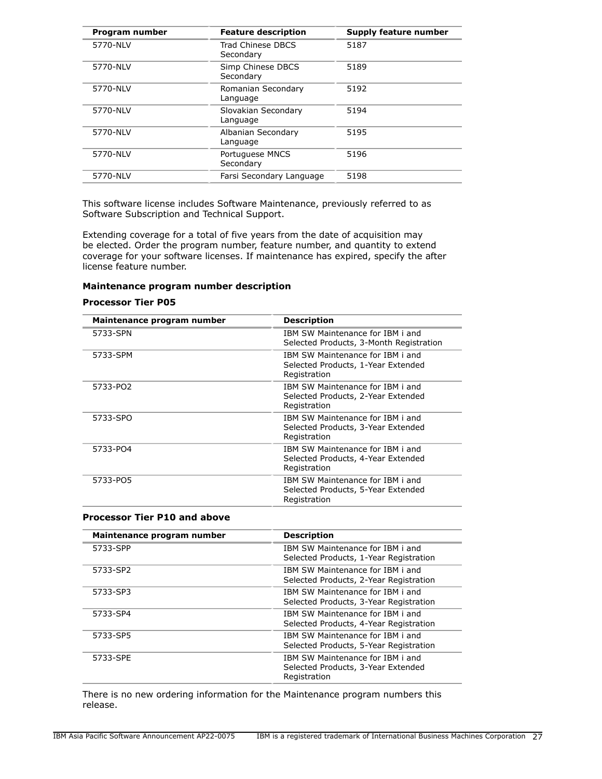| Program number | <b>Feature description</b>      | Supply feature number |
|----------------|---------------------------------|-----------------------|
| 5770-NLV       | Trad Chinese DBCS<br>Secondary  | 5187                  |
| 5770-NLV       | Simp Chinese DBCS<br>Secondary  | 5189                  |
| 5770-NLV       | Romanian Secondary<br>Language  | 5192                  |
| 5770-NLV       | Slovakian Secondary<br>Language | 5194                  |
| 5770-NLV       | Albanian Secondary<br>Language  | 5195                  |
| 5770-NLV       | Portuguese MNCS<br>Secondary    | 5196                  |
| 5770-NLV       | Farsi Secondary Language        | 5198                  |

This software license includes Software Maintenance, previously referred to as Software Subscription and Technical Support.

Extending coverage for a total of five years from the date of acquisition may be elected. Order the program number, feature number, and quantity to extend coverage for your software licenses. If maintenance has expired, specify the after license feature number.

### **Maintenance program number description**

#### **Processor Tier P05**

| Maintenance program number | <b>Description</b>                                                                     |
|----------------------------|----------------------------------------------------------------------------------------|
| 5733-SPN                   | IBM SW Maintenance for IBM i and<br>Selected Products, 3-Month Registration            |
| 5733-SPM                   | IBM SW Maintenance for IBM i and<br>Selected Products, 1-Year Extended<br>Registration |
| 5733-PO2                   | IBM SW Maintenance for IBM i and<br>Selected Products, 2-Year Extended<br>Registration |
| 5733-SPO                   | IBM SW Maintenance for IBM i and<br>Selected Products, 3-Year Extended<br>Registration |
| 5733-PO4                   | IBM SW Maintenance for IBM i and<br>Selected Products, 4-Year Extended<br>Registration |
| 5733-PO5                   | IBM SW Maintenance for IBM i and<br>Selected Products, 5-Year Extended<br>Registration |

### **Processor Tier P10 and above**

| Maintenance program number | <b>Description</b>                                                                     |
|----------------------------|----------------------------------------------------------------------------------------|
| 5733-SPP                   | TBM SW Maintenance for TBM i and<br>Selected Products, 1-Year Registration             |
| 5733-SP2                   | IBM SW Maintenance for IBM i and<br>Selected Products, 2-Year Registration             |
| 5733-SP3                   | IBM SW Maintenance for IBM i and<br>Selected Products, 3-Year Registration             |
| 5733-SP4                   | TBM SW Maintenance for TBM i and<br>Selected Products, 4-Year Registration             |
| 5733-SP5                   | IBM SW Maintenance for IBM i and<br>Selected Products, 5-Year Registration             |
| 5733-SPE                   | IBM SW Maintenance for IBM i and<br>Selected Products, 3-Year Extended<br>Registration |

There is no new ordering information for the Maintenance program numbers this release.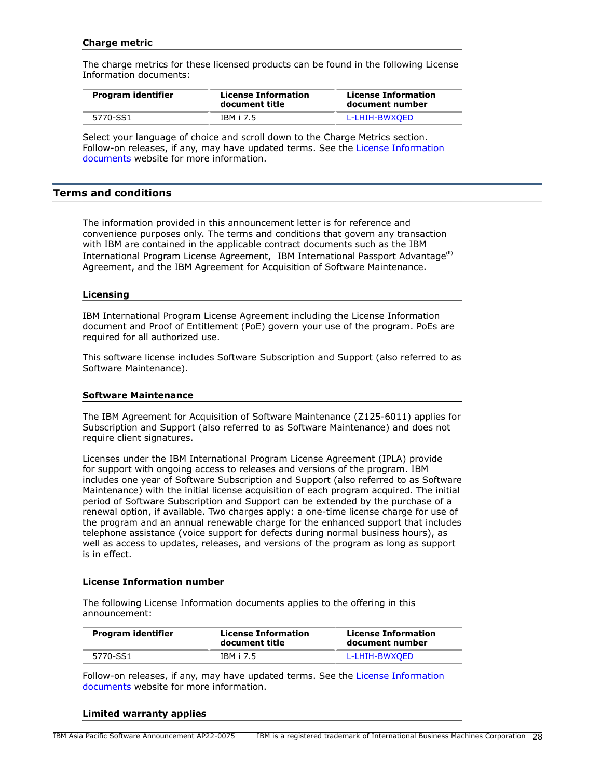### **Charge metric**

The charge metrics for these licensed products can be found in the following License Information documents:

| Program identifier | <b>License Information</b><br>document title | <b>License Information</b><br>document number |
|--------------------|----------------------------------------------|-----------------------------------------------|
| 5770-SS1           | IBM i 7.5                                    | L-LHIH-BWXOED                                 |

Select your language of choice and scroll down to the Charge Metrics section. Follow-on releases, if any, may have updated terms. See the [License Information](https://www.ibm.com/software/sla/sladb.nsf/search?OpenForm) [documents](https://www.ibm.com/software/sla/sladb.nsf/search?OpenForm) website for more information.

### <span id="page-27-0"></span>**Terms and conditions**

The information provided in this announcement letter is for reference and convenience purposes only. The terms and conditions that govern any transaction with IBM are contained in the applicable contract documents such as the IBM International Program License Agreement, IBM International Passport Advantage ${}^{\text{\tiny(R)}}$ Agreement, and the IBM Agreement for Acquisition of Software Maintenance.

### **Licensing**

IBM International Program License Agreement including the License Information document and Proof of Entitlement (PoE) govern your use of the program. PoEs are required for all authorized use.

This software license includes Software Subscription and Support (also referred to as Software Maintenance).

### **Software Maintenance**

The IBM Agreement for Acquisition of Software Maintenance (Z125-6011) applies for Subscription and Support (also referred to as Software Maintenance) and does not require client signatures.

Licenses under the IBM International Program License Agreement (IPLA) provide for support with ongoing access to releases and versions of the program. IBM includes one year of Software Subscription and Support (also referred to as Software Maintenance) with the initial license acquisition of each program acquired. The initial period of Software Subscription and Support can be extended by the purchase of a renewal option, if available. Two charges apply: a one-time license charge for use of the program and an annual renewable charge for the enhanced support that includes telephone assistance (voice support for defects during normal business hours), as well as access to updates, releases, and versions of the program as long as support is in effect.

### **License Information number**

The following License Information documents applies to the offering in this announcement:

| Program identifier | <b>License Information</b><br>document title | <b>License Information</b><br>document number |
|--------------------|----------------------------------------------|-----------------------------------------------|
| 5770-SS1           | IBM i 7.5                                    | L-LHIH-BWXOED                                 |

Follow-on releases, if any, may have updated terms. See the [License Information](https://www.ibm.com/software/sla/sladb.nsf/search?OpenForm) [documents](https://www.ibm.com/software/sla/sladb.nsf/search?OpenForm) website for more information.

#### **Limited warranty applies**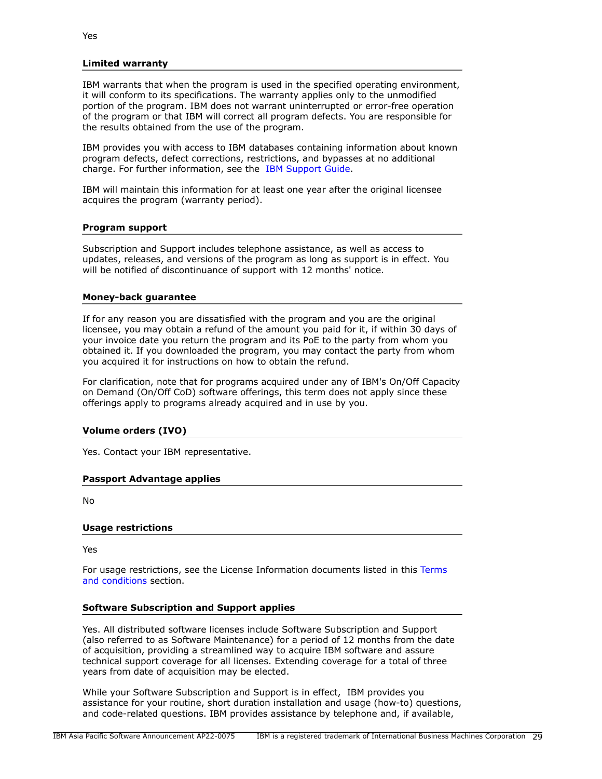### **Limited warranty**

IBM warrants that when the program is used in the specified operating environment, it will conform to its specifications. The warranty applies only to the unmodified portion of the program. IBM does not warrant uninterrupted or error-free operation of the program or that IBM will correct all program defects. You are responsible for the results obtained from the use of the program.

IBM provides you with access to IBM databases containing information about known program defects, defect corrections, restrictions, and bypasses at no additional charge. For further information, see the [IBM Support Guide](http://www.ibm.com/support/customercare/sas/f/handbook/home.html).

IBM will maintain this information for at least one year after the original licensee acquires the program (warranty period).

### **Program support**

Subscription and Support includes telephone assistance, as well as access to updates, releases, and versions of the program as long as support is in effect. You will be notified of discontinuance of support with 12 months' notice.

#### **Money-back guarantee**

If for any reason you are dissatisfied with the program and you are the original licensee, you may obtain a refund of the amount you paid for it, if within 30 days of your invoice date you return the program and its PoE to the party from whom you obtained it. If you downloaded the program, you may contact the party from whom you acquired it for instructions on how to obtain the refund.

For clarification, note that for programs acquired under any of IBM's On/Off Capacity on Demand (On/Off CoD) software offerings, this term does not apply since these offerings apply to programs already acquired and in use by you.

### **Volume orders (IVO)**

Yes. Contact your IBM representative.

### **Passport Advantage applies**

No

#### **Usage restrictions**

Yes

For usage restrictions, see the License Information documents listed in this [Terms](#page-27-0) [and conditions](#page-27-0) section.

### **Software Subscription and Support applies**

Yes. All distributed software licenses include Software Subscription and Support (also referred to as Software Maintenance) for a period of 12 months from the date of acquisition, providing a streamlined way to acquire IBM software and assure technical support coverage for all licenses. Extending coverage for a total of three years from date of acquisition may be elected.

While your Software Subscription and Support is in effect, IBM provides you assistance for your routine, short duration installation and usage (how-to) questions, and code-related questions. IBM provides assistance by telephone and, if available,

Yes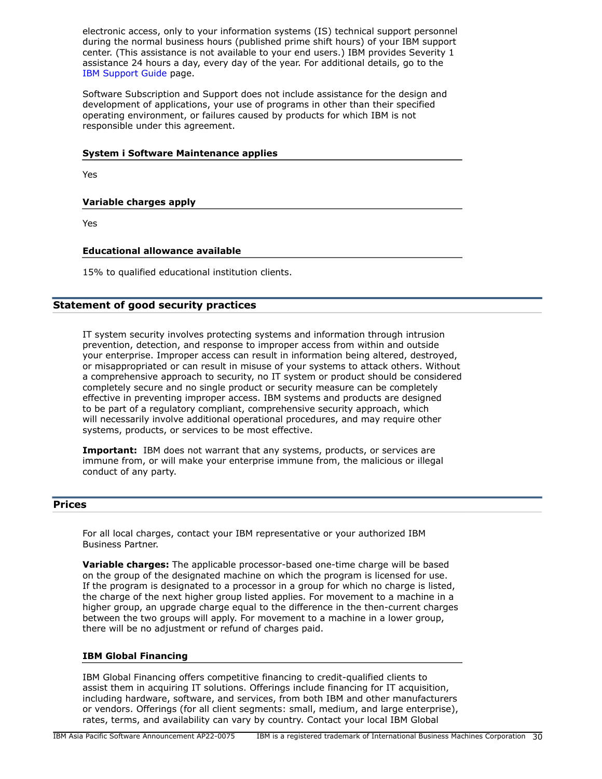electronic access, only to your information systems (IS) technical support personnel during the normal business hours (published prime shift hours) of your IBM support center. (This assistance is not available to your end users.) IBM provides Severity 1 assistance 24 hours a day, every day of the year. For additional details, go to the [IBM Support Guide](http://www.ibm.com/support/handbook) page.

Software Subscription and Support does not include assistance for the design and development of applications, your use of programs in other than their specified operating environment, or failures caused by products for which IBM is not responsible under this agreement.

### **System i Software Maintenance applies**

Yes

# **Variable charges apply**

Yes

### **Educational allowance available**

15% to qualified educational institution clients.

# **Statement of good security practices**

IT system security involves protecting systems and information through intrusion prevention, detection, and response to improper access from within and outside your enterprise. Improper access can result in information being altered, destroyed, or misappropriated or can result in misuse of your systems to attack others. Without a comprehensive approach to security, no IT system or product should be considered completely secure and no single product or security measure can be completely effective in preventing improper access. IBM systems and products are designed to be part of a regulatory compliant, comprehensive security approach, which will necessarily involve additional operational procedures, and may require other systems, products, or services to be most effective.

**Important:** IBM does not warrant that any systems, products, or services are immune from, or will make your enterprise immune from, the malicious or illegal conduct of any party.

### <span id="page-29-0"></span>**Prices**

For all local charges, contact your IBM representative or your authorized IBM Business Partner.

**Variable charges:** The applicable processor-based one-time charge will be based on the group of the designated machine on which the program is licensed for use. If the program is designated to a processor in a group for which no charge is listed, the charge of the next higher group listed applies. For movement to a machine in a higher group, an upgrade charge equal to the difference in the then-current charges between the two groups will apply. For movement to a machine in a lower group, there will be no adjustment or refund of charges paid.

#### **IBM Global Financing**

IBM Global Financing offers competitive financing to credit-qualified clients to assist them in acquiring IT solutions. Offerings include financing for IT acquisition, including hardware, software, and services, from both IBM and other manufacturers or vendors. Offerings (for all client segments: small, medium, and large enterprise), rates, terms, and availability can vary by country. Contact your local IBM Global